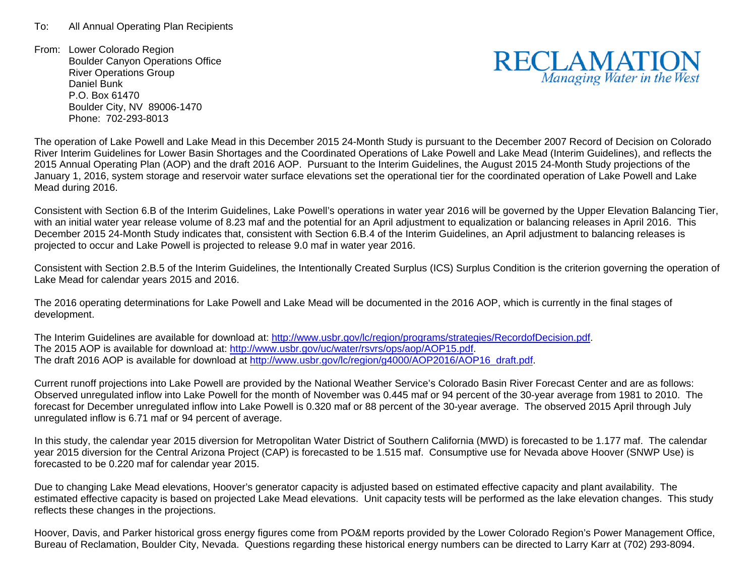From: Lower Colorado Region Boulder Canyon Operations Office River Operations Group Daniel Bunk P.O. Box 61470Boulder City, NV 89006-1470 Phone: 702-293-8013



The operation of Lake Powell and Lake Mead in this December 2015 24-Month Study is pursuant to the December 2007 Record of Decision on Colorado River Interim Guidelines for Lower Basin Shortages and the Coordinated Operations of Lake Powell and Lake Mead (Interim Guidelines), and reflects the 2015 Annual Operating Plan (AOP) and the draft 2016 AOP. Pursuant to the Interim Guidelines, the August 2015 24-Month Study projections of the January 1, 2016, system storage and reservoir water surface elevations set the operational tier for the coordinated operation of Lake Powell and Lake Mead during 2016.

Consistent with Section 6.B of the Interim Guidelines, Lake Powell's operations in water year 2016 will be governed by the Upper Elevation Balancing Tier, with an initial water year release volume of 8.23 maf and the potential for an April adjustment to equalization or balancing releases in April 2016. This December 2015 24-Month Study indicates that, consistent with Section 6.B.4 of the Interim Guidelines, an April adjustment to balancing releases is projected to occur and Lake Powell is projected to release 9.0 maf in water year 2016.

Consistent with Section 2.B.5 of the Interim Guidelines, the Intentionally Created Surplus (ICS) Surplus Condition is the criterion governing the operation of Lake Mead for calendar years 2015 and 2016.

The 2016 operating determinations for Lake Powell and Lake Mead will be documented in the 2016 AOP, which is currently in the final stages of development.

The Interim Guidelines are available for download at: http://www.usbr.gov/lc/region/programs/strategies/RecordofDecision.pdf. The 2015 AOP is available for download at: http://www.usbr.gov/uc/water/rsvrs/ops/aop/AOP15.pdf. The draft 2016 AOP is available for download at http://www.usbr.gov/lc/region/g4000/AOP2016/AOP16\_draft.pdf.

Current runoff projections into Lake Powell are provided by the National Weather Service's Colorado Basin River Forecast Center and are as follows: Observed unregulated inflow into Lake Powell for the month of November was 0.445 maf or 94 percent of the 30-year average from 1981 to 2010. The forecast for December unregulated inflow into Lake Powell is 0.320 maf or 88 percent of the 30-year average. The observed 2015 April through July unregulated inflow is 6.71 maf or 94 percent of average.

In this study, the calendar year 2015 diversion for Metropolitan Water District of Southern California (MWD) is forecasted to be 1.177 maf. The calendar year 2015 diversion for the Central Arizona Project (CAP) is forecasted to be 1.515 maf. Consumptive use for Nevada above Hoover (SNWP Use) is forecasted to be 0.220 maf for calendar year 2015.

Due to changing Lake Mead elevations, Hoover's generator capacity is adjusted based on estimated effective capacity and plant availability. The estimated effective capacity is based on projected Lake Mead elevations. Unit capacity tests will be performed as the lake elevation changes. This study reflects these changes in the projections.

Hoover, Davis, and Parker historical gross energy figures come from PO&M reports provided by the Lower Colorado Region's Power Management Office, Bureau of Reclamation, Boulder City, Nevada. Questions regarding these historical energy numbers can be directed to Larry Karr at (702) 293-8094.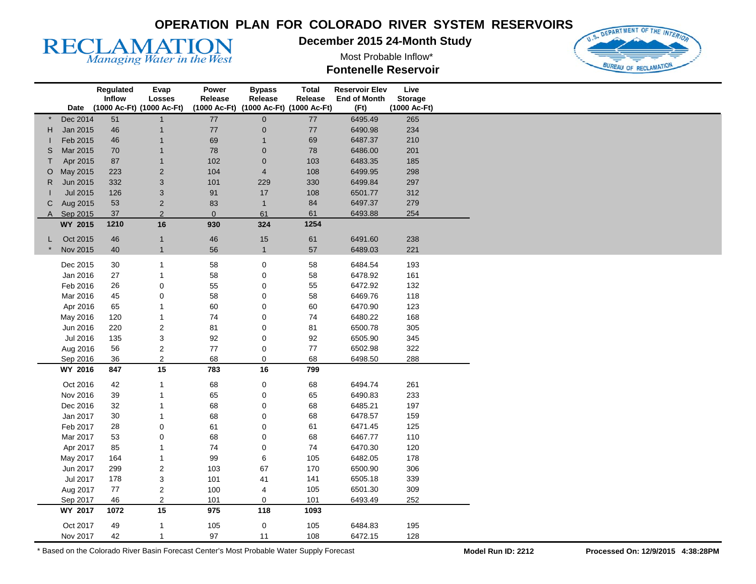

**December 2015 24-Month Study** 

Most Probable Inflow\* **Fontenelle Reservoir** 



|              |                 | Regulated | <b>Evap</b>               | Power        | <b>Bypass</b>                          | <b>Total</b> | <b>Reservoir Elev</b> | Live           |
|--------------|-----------------|-----------|---------------------------|--------------|----------------------------------------|--------------|-----------------------|----------------|
|              |                 | Inflow    | <b>Losses</b>             | Release      | Release                                | Release      | <b>End of Month</b>   | <b>Storage</b> |
|              | Date            |           | (1000 Ac-Ft) (1000 Ac-Ft) |              | (1000 Ac-Ft) (1000 Ac-Ft) (1000 Ac-Ft) |              | (Ft)                  | (1000 Ac-Ft)   |
|              | Dec 2014        | 51        | $\mathbf{1}$              | $77\,$       | $\mathbf 0$                            | 77           | 6495.49               | 265            |
| H.           | Jan 2015        | 46        | $\mathbf{1}$              | $77\,$       | $\boldsymbol{0}$                       | 77           | 6490.98               | 234            |
|              | Feb 2015        | 46        | $\overline{1}$            | 69           |                                        | 69           | 6487.37               | 210            |
| S            | Mar 2015        | 70        | $\overline{1}$            | ${\bf 78}$   | $\pmb{0}$                              | 78           | 6486.00               | 201            |
| T            | Apr 2015        | 87        | $\mathbf{1}$              | 102          | $\mathbf 0$                            | 103          | 6483.35               | 185            |
| O            | May 2015        | 223       | $\overline{2}$            | 104          | $\overline{4}$                         | 108          | 6499.95               | 298            |
| $\mathsf{R}$ | Jun 2015        | 332       | $\ensuremath{\mathsf{3}}$ | 101          | 229                                    | 330          | 6499.84               | 297            |
|              | <b>Jul 2015</b> | 126       | $\ensuremath{\mathsf{3}}$ | 91           | 17                                     | 108          | 6501.77               | 312            |
| C            | Aug 2015        | 53        | $\sqrt{2}$                | 83           | $\mathbf{1}$                           | 84           | 6497.37               | 279            |
|              | A Sep 2015      | 37        | $\overline{2}$            | $\mathbf{0}$ | 61                                     | 61           | 6493.88               | 254            |
|              | WY 2015         | 1210      | 16                        | 930          | 324                                    | 1254         |                       |                |
|              |                 |           |                           |              |                                        |              |                       |                |
|              | Oct 2015        | 46        | $\mathbf{1}$              | $46\,$       | 15                                     | 61           | 6491.60               | 238            |
|              | Nov 2015        | 40        | $\mathbf{1}$              | 56           | $\mathbf{1}$                           | 57           | 6489.03               | 221            |
|              | Dec 2015        | 30        | $\mathbf{1}$              | 58           | 0                                      | 58           | 6484.54               | 193            |
|              | Jan 2016        | 27        | $\mathbf{1}$              | 58           | 0                                      | 58           | 6478.92               | 161            |
|              | Feb 2016        | 26        | $\pmb{0}$                 | 55           | 0                                      | 55           | 6472.92               | 132            |
|              | Mar 2016        | 45        | $\pmb{0}$                 | 58           | 0                                      | 58           | 6469.76               | 118            |
|              | Apr 2016        | 65        | $\mathbf{1}$              | 60           | 0                                      | 60           | 6470.90               | 123            |
|              | May 2016        | 120       | $\mathbf{1}$              | $74\,$       | 0                                      | 74           | 6480.22               | 168            |
|              | Jun 2016        | 220       | $\sqrt{2}$                | 81           | $\mathbf 0$                            | 81           | 6500.78               | 305            |
|              | Jul 2016        | 135       | $\ensuremath{\mathsf{3}}$ | 92           | 0                                      | 92           | 6505.90               | 345            |
|              | Aug 2016        | 56        | $\overline{\mathbf{c}}$   | $77\,$       | $\pmb{0}$                              | $77$         | 6502.98               | 322            |
|              | Sep 2016        | 36        | $\overline{2}$            | 68           | 0                                      | 68           | 6498.50               | 288            |
|              | WY 2016         | 847       | 15                        | 783          | 16                                     | 799          |                       |                |
|              |                 |           |                           |              |                                        |              |                       |                |
|              | Oct 2016        | 42        | $\mathbf{1}$              | 68           | 0                                      | 68           | 6494.74               | 261            |
|              | Nov 2016        | 39        | $\mathbf{1}$              | 65           | 0                                      | 65           | 6490.83               | 233            |
|              | Dec 2016        | 32        | $\mathbf{1}$              | 68           | 0                                      | 68           | 6485.21               | 197            |
|              | Jan 2017        | 30        | $\mathbf{1}$              | 68           | 0                                      | 68           | 6478.57               | 159            |
|              | Feb 2017        | 28        | $\mathbf 0$               | 61           | 0                                      | 61           | 6471.45               | 125            |
|              | Mar 2017        | 53        | $\boldsymbol{0}$          | 68           | 0                                      | 68           | 6467.77               | 110            |
|              | Apr 2017        | 85        | $\mathbf{1}$              | 74           | 0                                      | 74           | 6470.30               | 120            |
|              | May 2017        | 164       | $\mathbf{1}$              | 99           | 6                                      | 105          | 6482.05               | 178            |
|              | Jun 2017        | 299       | $\boldsymbol{2}$          | 103          | 67                                     | 170          | 6500.90               | 306            |
|              | Jul 2017        | 178       | $\ensuremath{\mathsf{3}}$ | 101          | 41                                     | 141          | 6505.18               | 339            |
|              | Aug 2017        | 77        | $\overline{2}$            | 100          | 4                                      | 105          | 6501.30               | 309            |
|              | Sep 2017        | 46        | $\overline{2}$            | 101          | 0                                      | 101          | 6493.49               | 252            |
|              | WY 2017         | 1072      | 15                        | 975          | 118                                    | 1093         |                       |                |
|              |                 |           |                           |              |                                        |              |                       |                |
|              | Oct 2017        | 49        | $\mathbf{1}$              | 105          | $\pmb{0}$                              | 105          | 6484.83               | 195            |
|              | Nov 2017        | 42        | 1                         | 97           | 11                                     | 108          | 6472.15               | 128            |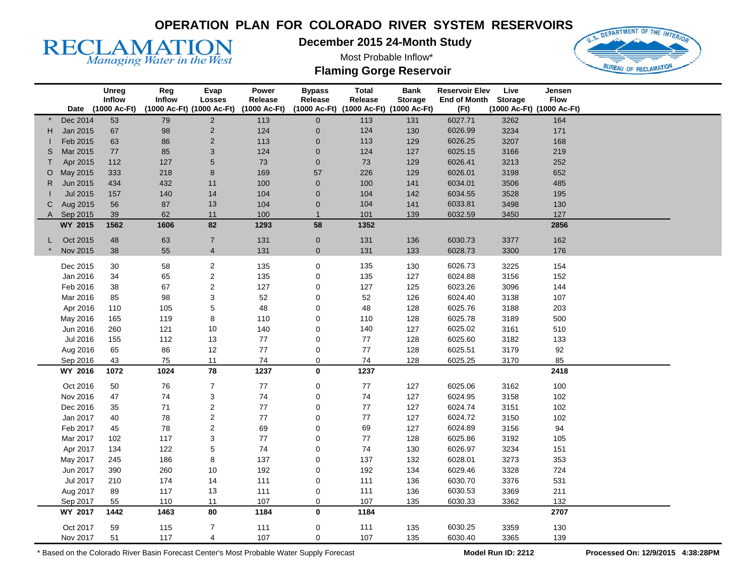**December 2015 24-Month Study** 

Most Probable Inflow\* **Flaming Gorge Reservoir** 



|         |                 | Unreg<br>Inflow   | Reg<br><b>Inflow</b> | Evap<br><b>Losses</b>     | Power<br>Release | <b>Bypass</b><br>Release | <b>Total</b><br>Release                | <b>Bank</b><br><b>Storage</b> | <b>Reservoir Elev</b><br><b>End of Month</b> | Live<br><b>Storage</b> | Jensen<br><b>Flow</b>     |  |
|---------|-----------------|-------------------|----------------------|---------------------------|------------------|--------------------------|----------------------------------------|-------------------------------|----------------------------------------------|------------------------|---------------------------|--|
|         |                 | Date (1000 Ac-Ft) |                      | (1000 Ac-Ft) (1000 Ac-Ft) | (1000 Ac-Ft)     |                          | (1000 Ac-Ft) (1000 Ac-Ft) (1000 Ac-Ft) |                               | (Ft)                                         |                        | (1000 Ac-Ft) (1000 Ac-Ft) |  |
|         | Dec 2014        | 53                | 79                   | $\sqrt{2}$                | 113              | $\mathbf 0$              | 113                                    | 131                           | 6027.71                                      | 3262                   | 164                       |  |
| н       | Jan 2015        | 67                | 98                   | $\overline{\mathbf{c}}$   | 124              | $\pmb{0}$                | 124                                    | 130                           | 6026.99                                      | 3234                   | 171                       |  |
|         | Feb 2015        | 63                | 86                   | $\mathbf 2$               | 113              | $\pmb{0}$                | 113                                    | 129                           | 6026.25                                      | 3207                   | 168                       |  |
| S       | Mar 2015        | 77                | 85                   | 3                         | 124              | $\mathbf 0$              | 124                                    | 127                           | 6025.15                                      | 3166                   | 219                       |  |
| т       | Apr 2015        | 112               | 127                  | 5                         | 73               | $\pmb{0}$                | 73                                     | 129                           | 6026.41                                      | 3213                   | 252                       |  |
| $\circ$ | May 2015        | 333               | 218                  | 8                         | 169              | 57                       | 226                                    | 129                           | 6026.01                                      | 3198                   | 652                       |  |
| R       | Jun 2015        | 434               | 432                  | 11                        | 100              | $\mathbf 0$              | 100                                    | 141                           | 6034.01                                      | 3506                   | 485                       |  |
|         | <b>Jul 2015</b> | 157               | 140                  | 14                        | 104              | $\mathbf 0$              | 104                                    | 142                           | 6034.55                                      | 3528                   | 195                       |  |
| С       | Aug 2015        | 56                | 87                   | 13                        | 104              | $\pmb{0}$                | 104                                    | 141                           | 6033.81                                      | 3498                   | 130                       |  |
| A       | Sep 2015        | 39                | 62                   | 11                        | 100              | $\mathbf{1}$             | 101                                    | 139                           | 6032.59                                      | 3450                   | 127                       |  |
|         | WY 2015         | 1562              | 1606                 | 82                        | 1293             | 58                       | 1352                                   |                               |                                              |                        | 2856                      |  |
|         |                 |                   |                      |                           |                  |                          |                                        |                               |                                              |                        |                           |  |
|         | Oct 2015        | 48                | 63                   | $\overline{7}$            | 131              | $\mathbf 0$              | 131                                    | 136                           | 6030.73                                      | 3377                   | 162                       |  |
|         | Nov 2015        | 38                | 55                   | $\overline{4}$            | 131              | $\mathbf{0}$             | 131                                    | 133                           | 6028.73                                      | 3300                   | 176                       |  |
|         | Dec 2015        | 30                | 58                   | 2                         | 135              | $\pmb{0}$                | 135                                    | 130                           | 6026.73                                      | 3225                   | 154                       |  |
|         | Jan 2016        | 34                | 65                   | $\overline{\mathbf{c}}$   | 135              | $\mathbf 0$              | 135                                    | 127                           | 6024.88                                      | 3156                   | 152                       |  |
|         | Feb 2016        | 38                | 67                   | $\overline{\mathbf{c}}$   | 127              | $\mathbf 0$              | 127                                    | 125                           | 6023.26                                      | 3096                   | 144                       |  |
|         | Mar 2016        | 85                | 98                   | 3                         | 52               | $\pmb{0}$                | 52                                     | 126                           | 6024.40                                      | 3138                   | 107                       |  |
|         | Apr 2016        | 110               | 105                  | 5                         | 48               | $\mathbf 0$              | 48                                     | 128                           | 6025.76                                      | 3188                   | 203                       |  |
|         | May 2016        | 165               | 119                  | 8                         | 110              | $\mathbf 0$              | 110                                    | 128                           | 6025.78                                      | 3189                   | 500                       |  |
|         | Jun 2016        | 260               | 121                  | 10                        | 140              | $\mathbf 0$              | 140                                    | 127                           | 6025.02                                      | 3161                   | 510                       |  |
|         | Jul 2016        | 155               | 112                  | 13                        | 77               | $\mathbf 0$              | 77                                     | 128                           | 6025.60                                      | 3182                   | 133                       |  |
|         | Aug 2016        | 65                | 86                   | 12                        | 77               | $\mathbf 0$              | 77                                     | 128                           | 6025.51                                      | 3179                   | 92                        |  |
|         | Sep 2016        | 43                | 75                   | 11                        | 74               | $\mathbf 0$              | 74                                     | 128                           | 6025.25                                      | 3170                   | 85                        |  |
|         | WY 2016         | 1072              | 1024                 | 78                        | 1237             | 0                        | 1237                                   |                               |                                              |                        | 2418                      |  |
|         |                 |                   |                      |                           |                  |                          |                                        |                               |                                              |                        |                           |  |
|         | Oct 2016        | 50                | 76                   | $\overline{7}$            | ${\bf 77}$       | $\pmb{0}$                | $77\,$                                 | 127                           | 6025.06                                      | 3162                   | 100                       |  |
|         | Nov 2016        | 47                | 74                   | 3                         | 74               | $\mathbf 0$              | 74                                     | 127                           | 6024.95                                      | 3158                   | 102                       |  |
|         | Dec 2016        | 35                | 71                   | $\mathbf 2$               | 77               | $\mathbf 0$              | 77                                     | 127                           | 6024.74                                      | 3151                   | 102                       |  |
|         | Jan 2017        | 40                | 78                   | $\mathbf 2$               | 77               | $\mathbf 0$              | 77                                     | 127                           | 6024.72                                      | 3150                   | 102                       |  |
|         | Feb 2017        | 45                | 78                   | $\boldsymbol{2}$          | 69               | $\mathbf 0$              | 69                                     | 127                           | 6024.89                                      | 3156                   | 94                        |  |
|         | Mar 2017        | 102               | 117                  | 3                         | 77               | $\mathbf 0$              | 77                                     | 128                           | 6025.86                                      | 3192                   | 105                       |  |
|         | Apr 2017        | 134               | 122                  | 5                         | 74               | $\mathbf 0$              | 74                                     | 130                           | 6026.97                                      | 3234                   | 151                       |  |
|         | May 2017        | 245               | 186                  | 8                         | 137              | $\mathbf 0$              | 137                                    | 132                           | 6028.01                                      | 3273                   | 353                       |  |
|         | Jun 2017        | 390               | 260                  | 10                        | 192              | $\mathbf 0$              | 192                                    | 134                           | 6029.46                                      | 3328                   | 724                       |  |
|         | Jul 2017        | 210               | 174                  | 14                        | 111              | $\mathbf 0$              | 111                                    | 136                           | 6030.70                                      | 3376                   | 531                       |  |
|         | Aug 2017        | 89                | 117                  | 13                        | 111              | 0                        | 111                                    | 136                           | 6030.53                                      | 3369                   | 211                       |  |
|         | Sep 2017        | 55                | 110                  | 11                        | 107              | $\mathbf 0$              | 107                                    | 135                           | 6030.33                                      | 3362                   | 132                       |  |
|         | WY 2017         | 1442              | 1463                 | 80                        | 1184             | 0                        | 1184                                   |                               |                                              |                        | 2707                      |  |
|         | Oct 2017        | 59                | 115                  | $\boldsymbol{7}$          | 111              | 0                        | 111                                    | 135                           | 6030.25                                      | 3359                   | 130                       |  |
|         | Nov 2017        | 51                | 117                  | 4                         | 107              | $\Omega$                 | 107                                    | 135                           | 6030.40                                      | 3365                   | 139                       |  |

\* Based on the Colorado River Basin Forecast Center's Most Probable Water Supply Forecast **Model Run ID: 2212 Processed On: 12/9/2015 4:38:28PM** 

**RECLAMATION**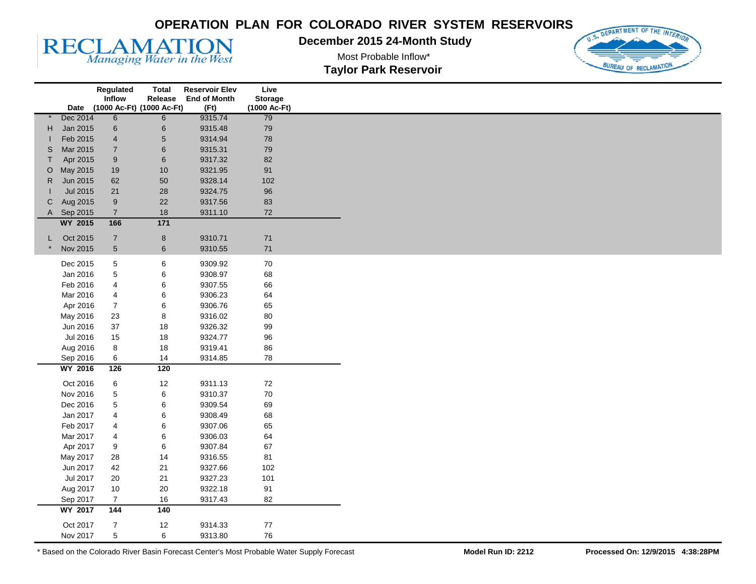**December 2015 24-Month Study** 

U.S. DEPARTMENT OF THE INTE BUREAU OF RECLAMATIC

**RECLAMATION** 

Most Probable Inflow\* **Taylor Park Reservoir** 

|    |                      | Regulated                 | Total      | <b>Reservoir Elev</b> | Live           |  |
|----|----------------------|---------------------------|------------|-----------------------|----------------|--|
|    |                      | Inflow                    | Release    | <b>End of Month</b>   | <b>Storage</b> |  |
|    | Date                 | (1000 Ac-Ft) (1000 Ac-Ft) |            | (Ft)                  | (1000 Ac-Ft)   |  |
|    | Dec 2014             | 6                         | 6          | 9315.74               | 79             |  |
| H. | Jan 2015             | $\,6$                     | $\,6$      | 9315.48               | 79             |  |
|    | Feb 2015             | $\overline{4}$            | $\sqrt{5}$ | 9314.94               | 78             |  |
| S  | Mar 2015             | $\sqrt{7}$                | $\,6$      | 9315.31               | 79             |  |
| T. | Apr 2015             | $\boldsymbol{9}$          | $\,6\,$    | 9317.32               | 82             |  |
| O  | May 2015             | 19                        | 10         | 9321.95               | 91             |  |
| R. | Jun 2015             | 62                        | 50         | 9328.14               | 102            |  |
|    | Jul 2015             | 21                        | 28         | 9324.75               | 96             |  |
| C  | Aug 2015             | $\boldsymbol{9}$          | 22         | 9317.56               | 83             |  |
|    | A Sep 2015           | $\overline{7}$            | 18         | 9311.10               | 72             |  |
|    | <b>WY 2015</b>       | 166                       | $171$      |                       |                |  |
| L. | Oct 2015             | $\overline{7}$            | $\bf 8$    | 9310.71               | 71             |  |
|    | Nov 2015             | $\sqrt{5}$                | $\,6\,$    | 9310.55               | $71$           |  |
|    |                      |                           |            |                       |                |  |
|    | Dec 2015             | 5                         | 6          | 9309.92               | 70             |  |
|    | Jan 2016             | 5                         | 6          | 9308.97               | 68             |  |
|    | Feb 2016             | 4                         | 6          | 9307.55               | 66             |  |
|    | Mar 2016             | 4                         | 6          | 9306.23               | 64             |  |
|    | Apr 2016             | $\boldsymbol{7}$          | 6          | 9306.76               | 65             |  |
|    | May 2016             | 23                        | 8          | 9316.02               | 80             |  |
|    | Jun 2016             | 37                        | 18         | 9326.32               | 99             |  |
|    | Jul 2016             | 15                        | 18         | 9324.77               | 96             |  |
|    | Aug 2016             | $\bf8$                    | 18         | 9319.41               | 86             |  |
|    | Sep 2016             | $\,6$                     | 14         | 9314.85               | 78             |  |
|    | <b>WY 2016</b>       | $\overline{126}$          | 120        |                       |                |  |
|    | Oct 2016             | $\,6$                     | 12         | 9311.13               | 72             |  |
|    | Nov 2016             | 5                         | 6          | 9310.37               | 70             |  |
|    | Dec 2016             | 5                         | 6          | 9309.54               | 69             |  |
|    | Jan 2017             | 4                         | 6          | 9308.49               | 68             |  |
|    | Feb 2017             | 4                         |            | 9307.06               | 65             |  |
|    |                      |                           | 6          | 9306.03               | 64             |  |
|    | Mar 2017<br>Apr 2017 | 4                         | 6          | 9307.84               | 67             |  |
|    |                      | 9                         | 6          |                       |                |  |
|    | May 2017             | 28                        | 14         | 9316.55               | 81             |  |
|    | Jun 2017             | 42                        | 21         | 9327.66               | 102            |  |
|    | Jul 2017             | $20\,$                    | 21         | 9327.23               | 101            |  |
|    | Aug 2017             | $10$                      | 20         | 9322.18               | 91             |  |
|    | Sep 2017             | $\overline{7}$            | 16         | 9317.43               | 82             |  |
|    | <b>WY 2017</b>       | 144                       | 140        |                       |                |  |
|    | Oct 2017             | $\boldsymbol{7}$          | 12         | 9314.33               | 77             |  |
|    | Nov 2017             | 5                         | 6          | 9313.80               | 76             |  |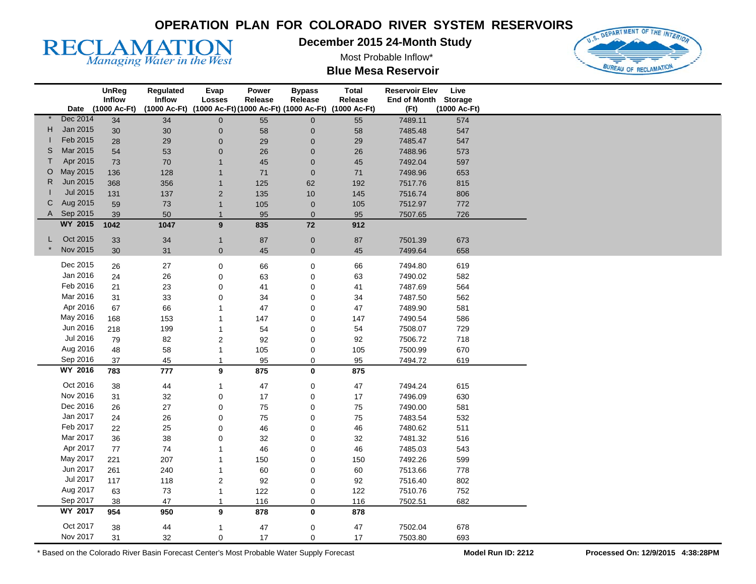**December 2015 24-Month Study** 

Most Probable Inflow\*



RECLAMATION

| <b>Blue Mesa Reservoir</b> |  |
|----------------------------|--|
|----------------------------|--|

|    |                 | <b>UnReg</b><br>Inflow | Regulated<br>Inflow | Evap<br><b>Losses</b> | Power<br>Release | <b>Bypass</b><br>Release               | <b>Total</b><br>Release | <b>Reservoir Elev</b><br>End of Month Storage | Live         |
|----|-----------------|------------------------|---------------------|-----------------------|------------------|----------------------------------------|-------------------------|-----------------------------------------------|--------------|
|    |                 | Date (1000 Ac-Ft)      | (1000 Ac-Ft)        |                       |                  | (1000 Ac-Ft) (1000 Ac-Ft) (1000 Ac-Ft) | (1000 Ac-Ft)            | (Ft)                                          | (1000 Ac-Ft) |
|    | Dec 2014        | $\overline{34}$        | 34                  | $\overline{0}$        | 55               | $\mathsf{O}\xspace$                    | 55                      | 7489.11                                       | 574          |
| H. | Jan 2015        | 30                     | 30                  | $\mathbf 0$           | 58               | 0                                      | 58                      | 7485.48                                       | 547          |
|    | Feb 2015        | 28                     | 29                  | $\mathbf 0$           | 29               | 0                                      | 29                      | 7485.47                                       | 547          |
| S  | Mar 2015        | 54                     | 53                  | $\mathbf 0$           | 26               | 0                                      | $26\,$                  | 7488.96                                       | 573          |
| T  | Apr 2015        | 73                     | 70                  |                       | 45               | $\mathbf 0$                            | 45                      | 7492.04                                       | 597          |
| O  | May 2015        | 136                    | 128                 |                       | 71               | $\pmb{0}$                              | $71$                    | 7498.96                                       | 653          |
| R  | Jun 2015        | 368                    | 356                 | $\mathbf 1$           | 125              | 62                                     | 192                     | 7517.76                                       | 815          |
|    | <b>Jul 2015</b> | 131                    | 137                 | $\overline{2}$        | 135              | 10                                     | 145                     | 7516.74                                       | 806          |
| С  | Aug 2015        | 59                     | 73                  | $\overline{1}$        | 105              | $\pmb{0}$                              | 105                     | 7512.97                                       | 772          |
|    | A Sep 2015      | 39                     | 50                  | $\mathbf{1}$          | 95               | $\mathbf 0$                            | 95                      | 7507.65                                       | 726          |
|    | WY 2015         | 1042                   | 1047                | 9                     | 835              | 72                                     | 912                     |                                               |              |
|    | Oct 2015        |                        |                     |                       |                  |                                        |                         |                                               |              |
| L  |                 | 33                     | 34                  | $\mathbf{1}$          | 87               | $\pmb{0}$                              | ${\bf 87}$              | 7501.39                                       | 673          |
|    | Nov 2015        | 30                     | 31                  | $\mathbf{0}$          | 45               | $\mathbf{0}$                           | 45                      | 7499.64                                       | 658          |
|    | Dec 2015        | 26                     | 27                  | $\mathbf 0$           | 66               | 0                                      | 66                      | 7494.80                                       | 619          |
|    | Jan 2016        | 24                     | 26                  | $\mathbf 0$           | 63               | 0                                      | 63                      | 7490.02                                       | 582          |
|    | Feb 2016        | 21                     | 23                  | $\mathbf 0$           | 41               | 0                                      | 41                      | 7487.69                                       | 564          |
|    | Mar 2016        | 31                     | 33                  | $\mathbf 0$           | 34               | 0                                      | 34                      | 7487.50                                       | 562          |
|    | Apr 2016        | 67                     | 66                  | -1                    | 47               | 0                                      | 47                      | 7489.90                                       | 581          |
|    | May 2016        | 168                    | 153                 |                       | 147              | 0                                      | 147                     | 7490.54                                       | 586          |
|    | Jun 2016        | 218                    | 199                 | -1                    | 54               | 0                                      | 54                      | 7508.07                                       | 729          |
|    | Jul 2016        | 79                     | 82                  | $\overline{c}$        | 92               | 0                                      | 92                      | 7506.72                                       | 718          |
|    | Aug 2016        | 48                     | 58                  | -1                    | 105              | 0                                      | 105                     | 7500.99                                       | 670          |
|    | Sep 2016        | 37                     | 45                  | $\mathbf{1}$          | 95               | 0                                      | 95                      | 7494.72                                       | 619          |
|    | WY 2016         | 783                    | 777                 | 9                     | 875              | 0                                      | 875                     |                                               |              |
|    |                 |                        |                     |                       |                  |                                        |                         |                                               |              |
|    | Oct 2016        | 38                     | 44                  | -1                    | 47               | 0                                      | $47\,$                  | 7494.24                                       | 615          |
|    | Nov 2016        | 31                     | 32                  | 0                     | 17               | 0                                      | $17$                    | 7496.09                                       | 630          |
|    | Dec 2016        | 26                     | 27                  | 0                     | 75               | 0                                      | ${\bf 75}$              | 7490.00                                       | 581          |
|    | Jan 2017        | 24                     | 26                  | $\mathbf 0$           | 75               | 0                                      | 75                      | 7483.54                                       | 532          |
|    | Feb 2017        | 22                     | 25                  | 0                     | 46               | 0                                      | 46                      | 7480.62                                       | 511          |
|    | Mar 2017        | 36                     | 38                  | 0                     | 32               | 0                                      | 32                      | 7481.32                                       | 516          |
|    | Apr 2017        | 77                     | 74                  |                       | 46               | 0                                      | 46                      | 7485.03                                       | 543          |
|    | May 2017        | 221                    | 207                 | -1                    | 150              | 0                                      | 150                     | 7492.26                                       | 599          |
|    | Jun 2017        | 261                    | 240                 | -1                    | 60               | 0                                      | 60                      | 7513.66                                       | 778          |
|    | Jul 2017        | 117                    | 118                 | $\overline{c}$        | 92               | 0                                      | 92                      | 7516.40                                       | 802          |
|    | Aug 2017        | 63                     | 73                  | $\mathbf{1}$          | 122              | 0                                      | 122                     | 7510.76                                       | 752          |
|    | Sep 2017        | 38                     | 47                  | -1                    | 116              | 0                                      | 116                     | 7502.51                                       | 682          |
|    | <b>WY 2017</b>  | 954                    | 950                 | 9                     | 878              | $\mathbf 0$                            | 878                     |                                               |              |
|    | Oct 2017        | 38                     | 44                  | 1                     | 47               | 0                                      | 47                      | 7502.04                                       | 678          |
|    | Nov 2017        | 31                     | 32                  | $\Omega$              | 17               | 0                                      | 17                      | 7503.80                                       | 693          |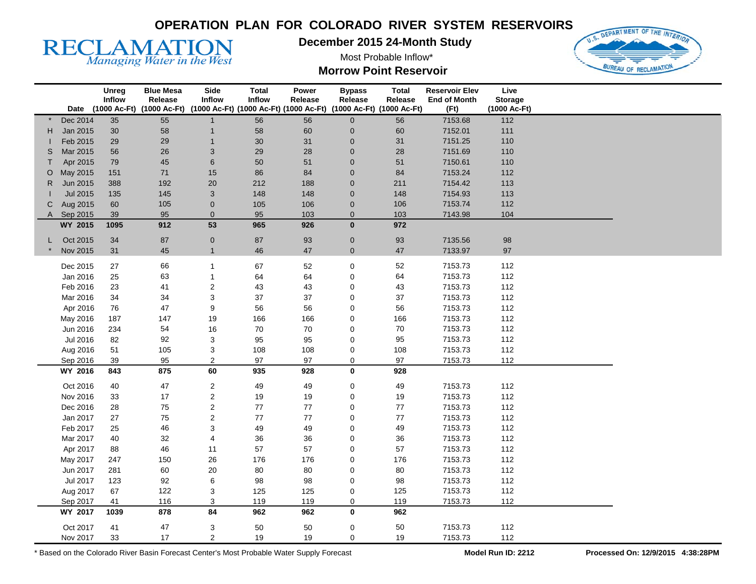**December 2015 24-Month Study** 

Most Probable Inflow\* **Morrow Point Reservoir** 



|   |          | Unreg<br>Inflow | <b>Blue Mesa</b><br>Release                                                                | Side<br>Inflow          | <b>Total</b><br><b>Inflow</b> | Power<br>Release | <b>Bypass</b><br>Release | <b>Total</b><br>Release | <b>Reservoir Elev</b><br><b>End of Month</b> | Live<br><b>Storage</b> |  |
|---|----------|-----------------|--------------------------------------------------------------------------------------------|-------------------------|-------------------------------|------------------|--------------------------|-------------------------|----------------------------------------------|------------------------|--|
|   | Date     |                 | (1000 Ac-Ft) (1000 Ac-Ft) (1000 Ac-Ft) (1000 Ac-Ft) (1000 Ac-Ft) (1000 Ac-Ft) (1000 Ac-Ft) |                         |                               |                  |                          |                         | (Ft)                                         | (1000 Ac-Ft)           |  |
|   | Dec 2014 | 35              | 55                                                                                         | $\mathbf{1}$            | 56                            | 56               | $\mathbf 0$              | 56                      | 7153.68                                      | 112                    |  |
| н | Jan 2015 | $30\,$          | 58                                                                                         | $\mathbf{1}$            | 58                            | 60               | $\mathbf 0$              | 60                      | 7152.01                                      | 111                    |  |
|   | Feb 2015 | 29              | 29                                                                                         | $\mathbf 1$             | $30\,$                        | 31               | $\mathbf 0$              | 31                      | 7151.25                                      | 110                    |  |
| S | Mar 2015 | 56              | 26                                                                                         | 3                       | 29                            | 28               | $\mathbf 0$              | 28                      | 7151.69                                      | 110                    |  |
| Т | Apr 2015 | 79              | 45                                                                                         | 6                       | $50\,$                        | 51               | $\pmb{0}$                | 51                      | 7150.61                                      | 110                    |  |
| O | May 2015 | 151             | 71                                                                                         | 15                      | 86                            | 84               | $\mathbf 0$              | 84                      | 7153.24                                      | 112                    |  |
| R | Jun 2015 | 388             | 192                                                                                        | 20                      | 212                           | 188              | $\pmb{0}$                | 211                     | 7154.42                                      | 113                    |  |
|   | Jul 2015 | 135             | 145                                                                                        | 3                       | 148                           | 148              | $\pmb{0}$                | 148                     | 7154.93                                      | 113                    |  |
| C | Aug 2015 | 60              | 105                                                                                        | $\pmb{0}$               | 105                           | 106              | 0                        | 106                     | 7153.74                                      | 112                    |  |
| A | Sep 2015 | 39              | 95                                                                                         | $\mathbf 0$             | 95                            | 103              | $\mathbf{0}$             | 103                     | 7143.98                                      | 104                    |  |
|   | WY 2015  | 1095            | 912                                                                                        | 53                      | 965                           | 926              | $\bf{0}$                 | 972                     |                                              |                        |  |
| L | Oct 2015 | 34              | 87                                                                                         | $\pmb{0}$               | 87                            | 93               | $\pmb{0}$                | 93                      | 7135.56                                      | 98                     |  |
|   | Nov 2015 | 31              | 45                                                                                         | $\mathbf{1}$            | 46                            | 47               | $\overline{0}$           | 47                      | 7133.97                                      | 97                     |  |
|   |          |                 |                                                                                            |                         |                               |                  |                          |                         |                                              |                        |  |
|   | Dec 2015 | $27\,$          | 66                                                                                         | 1                       | 67                            | 52               | 0                        | 52                      | 7153.73                                      | 112                    |  |
|   | Jan 2016 | 25              | 63                                                                                         | $\mathbf{1}$            | 64                            | 64               | 0                        | 64                      | 7153.73                                      | 112                    |  |
|   | Feb 2016 | 23              | 41                                                                                         | $\mathbf 2$             | 43                            | 43               | 0                        | 43                      | 7153.73                                      | 112                    |  |
|   | Mar 2016 | 34              | 34                                                                                         | 3                       | 37                            | 37               | 0                        | 37                      | 7153.73                                      | 112                    |  |
|   | Apr 2016 | 76              | 47                                                                                         | 9                       | 56                            | 56               | 0                        | 56                      | 7153.73                                      | 112                    |  |
|   | May 2016 | 187             | 147                                                                                        | 19                      | 166                           | 166              | 0                        | 166                     | 7153.73                                      | 112                    |  |
|   | Jun 2016 | 234             | 54                                                                                         | 16                      | 70                            | 70               | 0                        | 70                      | 7153.73                                      | 112                    |  |
|   | Jul 2016 | 82              | 92                                                                                         | 3                       | 95                            | 95               | 0                        | 95                      | 7153.73                                      | 112                    |  |
|   | Aug 2016 | 51              | 105                                                                                        | 3                       | 108                           | 108              | 0                        | 108                     | 7153.73                                      | 112                    |  |
|   | Sep 2016 | 39              | 95                                                                                         | $\overline{2}$          | 97                            | 97               | 0                        | 97                      | 7153.73                                      | 112                    |  |
|   | WY 2016  | 843             | 875                                                                                        | 60                      | 935                           | 928              | 0                        | 928                     |                                              |                        |  |
|   | Oct 2016 | 40              | 47                                                                                         | $\overline{\mathbf{c}}$ | 49                            | 49               | 0                        | 49                      | 7153.73                                      | 112                    |  |
|   | Nov 2016 | 33              | 17                                                                                         | $\boldsymbol{2}$        | 19                            | 19               | 0                        | 19                      | 7153.73                                      | 112                    |  |
|   | Dec 2016 | 28              | 75                                                                                         | $\overline{c}$          | 77                            | 77               | 0                        | $77\,$                  | 7153.73                                      | 112                    |  |
|   | Jan 2017 | 27              | 75                                                                                         | 2                       | $77\,$                        | 77               | 0                        | $77$                    | 7153.73                                      | 112                    |  |
|   | Feb 2017 | 25              | 46                                                                                         | 3                       | 49                            | 49               | 0                        | 49                      | 7153.73                                      | 112                    |  |
|   | Mar 2017 | 40              | 32                                                                                         | $\overline{\mathbf{4}}$ | 36                            | 36               | 0                        | 36                      | 7153.73                                      | 112                    |  |
|   | Apr 2017 | 88              | 46                                                                                         | 11                      | 57                            | 57               | 0                        | 57                      | 7153.73                                      | 112                    |  |
|   | May 2017 | 247             | 150                                                                                        | 26                      | 176                           | 176              | 0                        | 176                     | 7153.73                                      | 112                    |  |
|   | Jun 2017 | 281             | 60                                                                                         | 20                      | 80                            | 80               | 0                        | 80                      | 7153.73                                      | 112                    |  |
|   | Jul 2017 | 123             | 92                                                                                         | 6                       | 98                            | 98               | 0                        | 98                      | 7153.73                                      | 112                    |  |
|   | Aug 2017 | 67              | 122                                                                                        | 3                       | 125                           | 125              | 0                        | 125                     | 7153.73                                      | 112                    |  |
|   | Sep 2017 | 41              | 116                                                                                        | 3                       | 119                           | 119              | 0                        | 119                     | 7153.73                                      | 112                    |  |
|   | WY 2017  | 1039            | 878                                                                                        | 84                      | 962                           | 962              | 0                        | 962                     |                                              |                        |  |
|   | Oct 2017 | 41              | 47                                                                                         | 3                       | 50                            | 50               | 0                        | 50                      | 7153.73                                      | 112                    |  |
|   | Nov 2017 | 33              | 17                                                                                         | $\overline{2}$          | 19                            | 19               | $\Omega$                 | 19                      | 7153.73                                      | 112                    |  |

\* Based on the Colorado River Basin Forecast Center's Most Probable Water Supply Forecast **Model Run ID: 2212 Processed On: 12/9/2015 4:38:28PM** 

RECLAMATION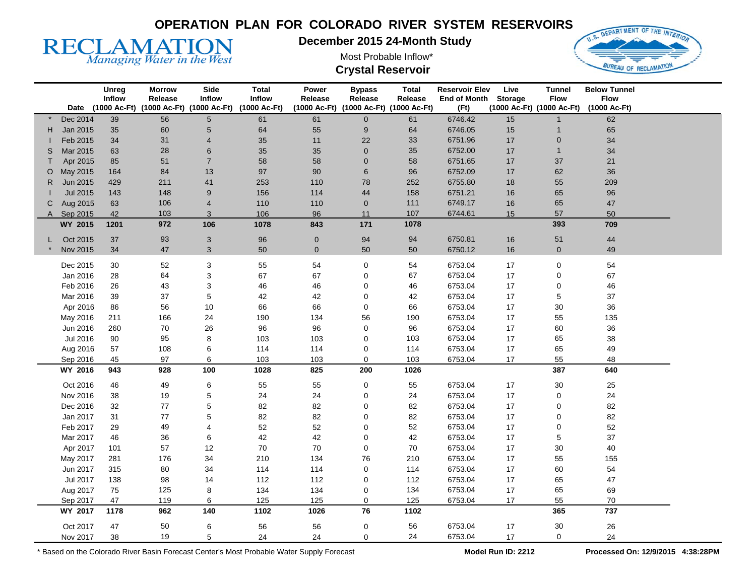

**December 2015 24-Month Study** 

Most Probable Inflow\* **Crystal Reservoir** 



|    |                     | Unreg<br>Inflow | <b>Morrow</b><br>Release | Side<br><b>Inflow</b>                                    | <b>Total</b><br><b>Inflow</b> | Power<br>Release | <b>Bypass</b><br>Release               | <b>Total</b><br>Release | <b>Reservoir Elev</b><br><b>End of Month</b> | Live<br><b>Storage</b> | <b>Tunnel</b><br><b>Flow</b> | <b>Below Tunnel</b><br><b>Flow</b> |  |
|----|---------------------|-----------------|--------------------------|----------------------------------------------------------|-------------------------------|------------------|----------------------------------------|-------------------------|----------------------------------------------|------------------------|------------------------------|------------------------------------|--|
|    |                     |                 |                          | Date (1000 Ac-Ft) (1000 Ac-Ft) (1000 Ac-Ft) (1000 Ac-Ft) |                               |                  | (1000 Ac-Ft) (1000 Ac-Ft) (1000 Ac-Ft) |                         | (Ft)                                         |                        | (1000 Ac-Ft) (1000 Ac-Ft)    | (1000 Ac-Ft)                       |  |
|    | Dec 2014            | 39              | 56                       | 5                                                        | 61                            | 61               | $\overline{0}$                         | 61                      | 6746.42                                      | 15                     |                              | 62                                 |  |
| H. | Jan 2015            | 35              | 60                       | 5                                                        | 64                            | 55               | $\boldsymbol{9}$                       | 64                      | 6746.05                                      | 15                     | $\mathbf{1}$                 | 65                                 |  |
|    | Feb 2015            | 34              | 31                       | 4                                                        | 35                            | 11               | 22                                     | 33                      | 6751.96                                      | 17                     | $\pmb{0}$                    | 34                                 |  |
| S  | Mar 2015            | 63              | 28                       | 6                                                        | 35                            | 35               | $\mathbf 0$                            | 35                      | 6752.00                                      | 17                     | $\mathbf{1}$                 | 34                                 |  |
| т  | Apr 2015            | 85              | 51                       | $\overline{7}$                                           | 58                            | 58               | $\mathbf{0}$                           | 58                      | 6751.65                                      | 17                     | 37                           | 21                                 |  |
| O  | May 2015            | 164             | 84                       | 13                                                       | 97                            | 90               | 6                                      | 96                      | 6752.09                                      | 17                     | 62                           | 36                                 |  |
| R  | Jun 2015            | 429             | 211                      | 41                                                       | 253                           | 110              | 78                                     | 252                     | 6755.80                                      | 18                     | 55                           | 209                                |  |
|    | <b>Jul 2015</b>     | 143             | 148                      | 9                                                        | 156                           | 114              | 44                                     | 158                     | 6751.21                                      | 16                     | 65                           | 96                                 |  |
| С  | Aug 2015            | 63              | 106                      | $\overline{4}$                                           | 110                           | 110              | $\mathbf 0$                            | 111                     | 6749.17                                      | 16                     | 65                           | 47                                 |  |
|    | A Sep 2015          | 42              | 103                      | 3                                                        | 106                           | 96               | 11                                     | 107                     | 6744.61                                      | 15                     | 57                           | 50                                 |  |
|    | <b>WY 2015</b>      | 1201            | 972                      | 106                                                      | 1078                          | 843              | 171                                    | 1078                    |                                              |                        | 393                          | 709                                |  |
|    | Oct 2015            | 37              | 93                       | 3                                                        | 96                            | $\mathbf 0$      | 94                                     | 94                      | 6750.81                                      | 16                     | 51                           | $44\,$                             |  |
|    | Nov 2015            | 34              | 47                       | 3                                                        | 50                            | $\overline{0}$   | 50                                     | 50                      | 6750.12                                      | 16                     | $\mathbf 0$                  | 49                                 |  |
|    | Dec 2015            | 30              | 52                       | 3                                                        | 55                            | 54               | 0                                      | 54                      | 6753.04                                      | 17                     | 0                            | 54                                 |  |
|    | Jan 2016            | 28              | 64                       | 3                                                        | 67                            | 67               | $\mathbf 0$                            | 67                      | 6753.04                                      | 17                     | 0                            | 67                                 |  |
|    | Feb 2016            | 26              | 43                       | 3                                                        | 46                            | 46               | $\mathbf 0$                            | 46                      | 6753.04                                      | 17                     | 0                            | 46                                 |  |
|    | Mar 2016            | 39              | 37                       | 5                                                        | 42                            | 42               | 0                                      | 42                      | 6753.04                                      | 17                     | 5                            | 37                                 |  |
|    | Apr 2016            | 86              | 56                       | 10                                                       | 66                            | 66               | 0                                      | 66                      | 6753.04                                      | 17                     | $30\,$                       | 36                                 |  |
|    | May 2016            | 211             | 166                      | 24                                                       | 190                           | 134              | 56                                     | 190                     | 6753.04                                      | 17                     | 55                           | 135                                |  |
|    | Jun 2016            | 260             | 70                       | 26                                                       | 96                            | 96               | 0                                      | 96                      | 6753.04                                      | 17                     | 60                           | 36                                 |  |
|    | Jul 2016            | 90              | 95                       | 8                                                        | 103                           | 103              | $\mathbf 0$                            | 103                     | 6753.04                                      | 17                     | 65                           | 38                                 |  |
|    | Aug 2016            | 57              | 108                      | 6                                                        | 114                           | 114              | 0                                      | 114                     | 6753.04                                      | 17                     | 65                           | 49                                 |  |
|    | Sep 2016            | 45              | 97                       | 6                                                        | 103                           | 103              | 0                                      | 103                     | 6753.04                                      | 17                     | 55                           | 48                                 |  |
|    | WY 2016             | 943             | 928                      | 100                                                      | 1028                          | 825              | 200                                    | 1026                    |                                              |                        | 387                          | 640                                |  |
|    |                     |                 |                          |                                                          |                               |                  |                                        |                         |                                              |                        |                              |                                    |  |
|    | Oct 2016            | 46              | 49                       | 6                                                        | 55                            | 55               | $\pmb{0}$                              | 55                      | 6753.04                                      | 17                     | $30\,$                       | 25                                 |  |
|    | Nov 2016            | 38              | 19                       | 5                                                        | 24                            | 24               | 0                                      | 24                      | 6753.04                                      | 17                     | 0                            | 24                                 |  |
|    | Dec 2016            | 32              | 77                       | 5                                                        | 82                            | 82               | 0                                      | 82                      | 6753.04                                      | 17                     | 0                            | 82                                 |  |
|    | Jan 2017            | 31              | 77                       | 5                                                        | 82                            | 82               | 0                                      | 82                      | 6753.04                                      | 17                     | 0                            | 82                                 |  |
|    | Feb 2017            | 29              | 49                       | 4                                                        | 52                            | 52               | $\mathbf 0$                            | 52                      | 6753.04                                      | 17                     | 0                            | 52                                 |  |
|    | Mar 2017            | 46              | 36                       | 6                                                        | 42                            | 42               | 0                                      | 42                      | 6753.04                                      | 17                     | 5                            | 37                                 |  |
|    | Apr 2017            | 101             | 57                       | 12                                                       | 70                            | 70               | 0                                      | 70                      | 6753.04                                      | 17                     | $30\,$                       | 40                                 |  |
|    | May 2017            | 281             | 176                      | 34                                                       | 210                           | 134              | 76                                     | 210                     | 6753.04                                      | 17                     | 55                           | 155                                |  |
|    | Jun 2017            | 315             | 80                       | 34                                                       | 114                           | 114              | 0                                      | 114                     | 6753.04                                      | 17                     | 60                           | 54                                 |  |
|    | Jul 2017            | 138             | 98                       | 14                                                       | 112                           | 112              | 0                                      | 112                     | 6753.04                                      | 17                     | 65                           | 47                                 |  |
|    | Aug 2017            | 75              | 125                      | 8                                                        | 134                           | 134              | 0                                      | 134                     | 6753.04                                      | 17                     | 65                           | 69                                 |  |
|    | Sep 2017<br>WY 2017 | 47<br>1178      | 119<br>962               | 6<br>140                                                 | 125<br>1102                   | 125<br>1026      | 0<br>76                                | 125<br>1102             | 6753.04                                      | 17                     | 55<br>365                    | $70\,$<br>737                      |  |
|    |                     |                 |                          |                                                          |                               |                  |                                        |                         |                                              |                        |                              |                                    |  |
|    | Oct 2017            | 47              | 50                       | 6                                                        | 56                            | 56               | 0                                      | 56                      | 6753.04                                      | 17                     | $30\,$                       | $26\,$                             |  |
|    | Nov 2017            | 38              | 19                       | 5                                                        | 24                            | 24               | $\pmb{0}$                              | 24                      | 6753.04                                      | 17                     | 0                            | 24                                 |  |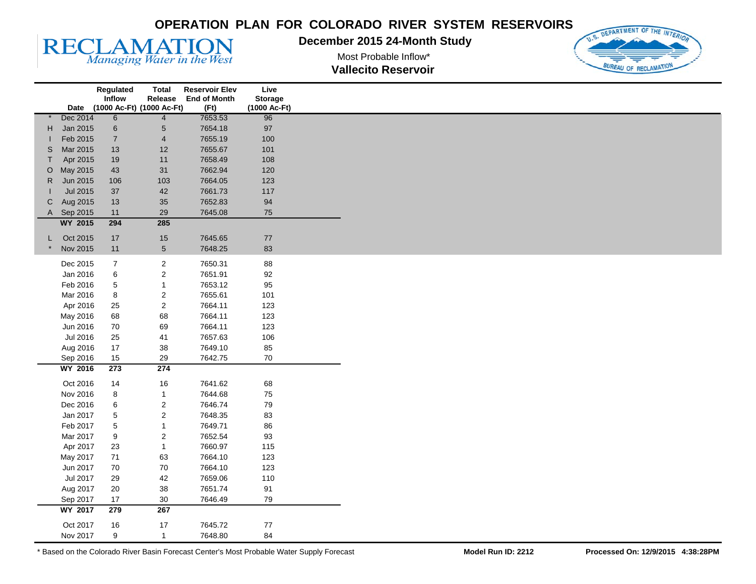#### **December 2015 24-Month Study**





**RECLAMATION** 

|              |                             | Regulated                 | <b>Total</b>            | <b>Reservoir Elev</b> | Live           |
|--------------|-----------------------------|---------------------------|-------------------------|-----------------------|----------------|
|              |                             | Inflow                    | Release                 | <b>End of Month</b>   | <b>Storage</b> |
|              | Date                        | (1000 Ac-Ft) (1000 Ac-Ft) |                         | (Ft)                  | (1000 Ac-Ft)   |
|              | Dec 2014<br>Jan 2015        | $6\overline{6}$           | $\overline{4}$          | 7653.53               | 96<br>97       |
| H            | Feb 2015                    | $\,6$                     | $\sqrt{5}$              | 7654.18<br>7655.19    | 100            |
| S            | Mar 2015                    | $\boldsymbol{7}$          | $\overline{\mathbf{4}}$ | 7655.67               |                |
|              |                             | 13                        | 12                      |                       | 101            |
| T            | Apr 2015                    | 19                        | $11$                    | 7658.49               | 108            |
| $\circ$      | May 2015                    | 43                        | 31                      | 7662.94               | 120            |
| $\mathsf{R}$ | Jun 2015<br><b>Jul 2015</b> | 106                       | 103                     | 7664.05               | 123            |
|              |                             | 37                        | 42                      | 7661.73               | 117            |
| C            | Aug 2015                    | 13                        | 35                      | 7652.83               | 94             |
| A            | Sep 2015                    | $11$                      | 29<br>285               | 7645.08               | 75             |
|              | <b>WY 2015</b>              | 294                       |                         |                       |                |
| L            | Oct 2015                    | 17                        | 15                      | 7645.65               | 77             |
|              | Nov 2015                    | 11                        | $\sqrt{5}$              | 7648.25               | 83             |
|              | Dec 2015                    | $\overline{7}$            | $\sqrt{2}$              | 7650.31               | 88             |
|              | Jan 2016                    | $\,6$                     | $\sqrt{2}$              | 7651.91               | 92             |
|              | Feb 2016                    | 5                         | $\mathbf{1}$            | 7653.12               | 95             |
|              | Mar 2016                    | 8                         | $\boldsymbol{2}$        | 7655.61               | 101            |
|              | Apr 2016                    | 25                        | $\mathbf 2$             | 7664.11               | 123            |
|              | May 2016                    | 68                        | 68                      | 7664.11               | 123            |
|              | Jun 2016                    | 70                        | 69                      | 7664.11               | 123            |
|              | Jul 2016                    | 25                        | 41                      | 7657.63               | 106            |
|              | Aug 2016                    | 17                        | 38                      | 7649.10               | 85             |
|              | Sep 2016                    | 15                        | 29                      | 7642.75               | $70\,$         |
|              | <b>WY 2016</b>              | 273                       | 274                     |                       |                |
|              |                             |                           |                         |                       |                |
|              | Oct 2016                    | 14                        | 16                      | 7641.62               | 68             |
|              | Nov 2016                    | 8                         | $\mathbf{1}$            | 7644.68               | 75             |
|              | Dec 2016                    | $\,6$                     | $\sqrt{2}$              | 7646.74               | 79             |
|              | Jan 2017                    | 5                         | $\sqrt{2}$              | 7648.35               | 83             |
|              | Feb 2017                    | 5                         | $\mathbf 1$             | 7649.71               | 86             |
|              | Mar 2017                    | 9                         | $\sqrt{2}$              | 7652.54               | 93             |
|              | Apr 2017                    | 23                        | $\mathbf{1}$            | 7660.97               | 115            |
|              | May 2017                    | 71                        | 63                      | 7664.10               | 123            |
|              | Jun 2017                    | 70                        | 70                      | 7664.10               | 123            |
|              | Jul 2017                    | 29                        | 42                      | 7659.06               | 110            |
|              | Aug 2017                    | 20                        | 38                      | 7651.74               | 91             |
|              | Sep 2017                    | 17                        | $30\,$                  | 7646.49               | 79             |
|              | <b>WY 2017</b>              | 279                       | 267                     |                       |                |
|              | Oct 2017                    | 16                        | 17                      | 7645.72               | 77             |
|              | Nov 2017                    | 9                         | $\mathbf{1}$            | 7648.80               | 84             |
|              |                             |                           |                         |                       |                |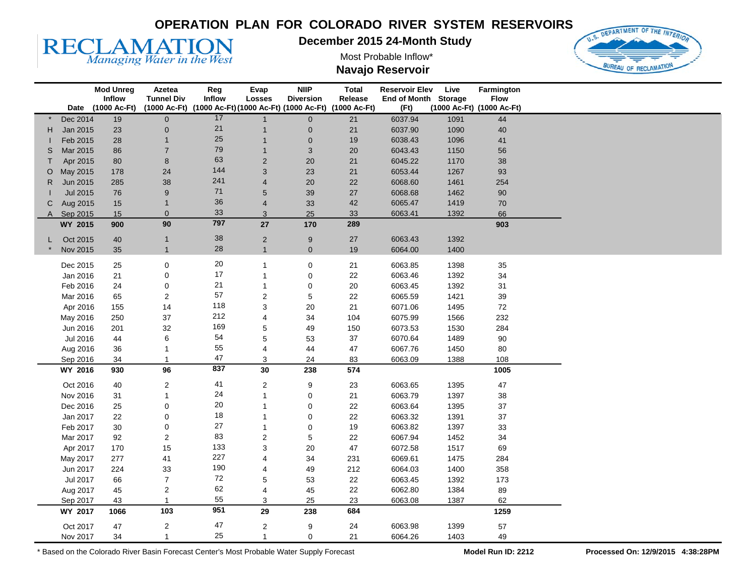

**December 2015 24-Month Study** 

Most Probable Inflow\* **Navajo Reservoir** 



|    |                      | <b>Mod Unreg</b>  | Azetea                                                         | Reg    | Evap                                      | <b>NIIP</b>                 | <b>Total</b> | <b>Reservoir Elev</b> | Live         | Farmington                |  |  |
|----|----------------------|-------------------|----------------------------------------------------------------|--------|-------------------------------------------|-----------------------------|--------------|-----------------------|--------------|---------------------------|--|--|
|    |                      | Inflow            | <b>Tunnel Div</b>                                              | Inflow | Losses                                    | <b>Diversion</b>            | Release      | End of Month Storage  |              | <b>Flow</b>               |  |  |
|    |                      | Date (1000 Ac-Ft) | (1000 Ac-Ft) (1000 Ac-Ft)(1000 Ac-Ft)(1000 Ac-Ft) (1000 Ac-Ft) | 17     |                                           |                             |              | (Ft)                  |              | (1000 Ac-Ft) (1000 Ac-Ft) |  |  |
|    | Dec 2014             | 19                | $\overline{0}$                                                 | 21     | $\mathbf{1}$                              | $\mathbf{0}$                | 21<br>21     | 6037.94<br>6037.90    | 1091         | 44                        |  |  |
| H. | Jan 2015<br>Feb 2015 | 23                | 0                                                              | 25     | $\overline{\mathbf{1}}$<br>$\overline{1}$ | $\pmb{0}$                   |              |                       | 1090<br>1096 | 40                        |  |  |
| S  | Mar 2015             | 28<br>86          | $\overline{7}$                                                 | 79     | $\overline{1}$                            | $\mathbf 0$<br>$\mathbf{3}$ | 19<br>20     | 6038.43<br>6043.43    | 1150         | 41<br>56                  |  |  |
| T. | Apr 2015             | 80                | 8                                                              | 63     | $\sqrt{2}$                                | 20                          | 21           | 6045.22               | 1170         | 38                        |  |  |
| O  | May 2015             | 178               | 24                                                             | 144    | 3                                         | 23                          | 21           | 6053.44               | 1267         | 93                        |  |  |
| R  | Jun 2015             | 285               | 38                                                             | 241    | $\overline{4}$                            | 20                          | 22           | 6068.60               | 1461         | 254                       |  |  |
|    | Jul 2015             | 76                | 9                                                              | 71     | 5                                         | 39                          | 27           | 6068.68               | 1462         | 90                        |  |  |
| С  | Aug 2015             | 15                |                                                                | 36     | $\overline{4}$                            | 33                          | 42           | 6065.47               | 1419         | 70                        |  |  |
|    | A Sep 2015           | 15                | $\overline{0}$                                                 | 33     | 3                                         | 25                          | 33           | 6063.41               | 1392         | 66                        |  |  |
|    | WY 2015              | 900               | 90                                                             | 797    | 27                                        | 170                         | 289          |                       |              | 903                       |  |  |
|    |                      |                   |                                                                |        |                                           |                             |              |                       |              |                           |  |  |
|    | Oct 2015             | 40                | $\mathbf{1}$                                                   | 38     | $\overline{2}$                            | $9\,$                       | $27\,$       | 6063.43               | 1392         |                           |  |  |
|    | Nov 2015             | 35                | $\mathbf{1}$                                                   | 28     | $\overline{1}$                            | $\mathbf{0}$                | 19           | 6064.00               | 1400         |                           |  |  |
|    | Dec 2015             | 25                | $\pmb{0}$                                                      | $20\,$ | -1                                        | 0                           | 21           | 6063.85               | 1398         | 35                        |  |  |
|    | Jan 2016             | 21                | $\pmb{0}$                                                      | 17     | $\overline{1}$                            | 0                           | 22           | 6063.46               | 1392         | 34                        |  |  |
|    | Feb 2016             | 24                | $\pmb{0}$                                                      | 21     | $\overline{1}$                            | $\pmb{0}$                   | $20\,$       | 6063.45               | 1392         | 31                        |  |  |
|    | Mar 2016             | 65                | $\overline{c}$                                                 | 57     | $\boldsymbol{2}$                          | $\mathbf 5$                 | 22           | 6065.59               | 1421         | 39                        |  |  |
|    | Apr 2016             | 155               | 14                                                             | 118    | 3                                         | 20                          | 21           | 6071.06               | 1495         | $72\,$                    |  |  |
|    | May 2016             | 250               | 37                                                             | 212    | 4                                         | 34                          | 104          | 6075.99               | 1566         | 232                       |  |  |
|    | Jun 2016             | 201               | 32                                                             | 169    | 5                                         | 49                          | 150          | 6073.53               | 1530         | 284                       |  |  |
|    | Jul 2016             | 44                | 6                                                              | 54     | 5                                         | 53                          | 37           | 6070.64               | 1489         | 90                        |  |  |
|    | Aug 2016             | 36                |                                                                | 55     | 4                                         | 44                          | 47           | 6067.76               | 1450         | 80                        |  |  |
|    | Sep 2016             | 34                |                                                                | 47     | 3                                         | 24                          | 83           | 6063.09               | 1388         | 108                       |  |  |
|    | WY 2016              | 930               | 96                                                             | 837    | 30                                        | 238                         | 574          |                       |              | 1005                      |  |  |
|    | Oct 2016             | 40                | 2                                                              | 41     | $\overline{c}$                            | 9                           | 23           | 6063.65               | 1395         | 47                        |  |  |
|    | Nov 2016             | 31                | 1                                                              | 24     | $\overline{1}$                            | $\pmb{0}$                   | 21           | 6063.79               | 1397         | 38                        |  |  |
|    | Dec 2016             | 25                | 0                                                              | 20     | 1                                         | 0                           | 22           | 6063.64               | 1395         | 37                        |  |  |
|    | Jan 2017             | 22                | 0                                                              | 18     | $\mathbf 1$                               | 0                           | 22           | 6063.32               | 1391         | 37                        |  |  |
|    | Feb 2017             | 30                | $\pmb{0}$                                                      | 27     | $\overline{1}$                            | $\pmb{0}$                   | 19           | 6063.82               | 1397         | 33                        |  |  |
|    | Mar 2017             | 92                | $\overline{c}$                                                 | 83     | $\boldsymbol{2}$                          | 5                           | 22           | 6067.94               | 1452         | 34                        |  |  |
|    | Apr 2017             | 170               | 15                                                             | 133    | 3                                         | $20\,$                      | 47           | 6072.58               | 1517         | 69                        |  |  |
|    | May 2017             | 277               | 41                                                             | 227    | 4                                         | 34                          | 231          | 6069.61               | 1475         | 284                       |  |  |
|    | Jun 2017             | 224               | 33                                                             | 190    | 4                                         | 49                          | 212          | 6064.03               | 1400         | 358                       |  |  |
|    | Jul 2017             | 66                | $\overline{7}$                                                 | 72     | 5                                         | 53                          | 22           | 6063.45               | 1392         | 173                       |  |  |
|    | Aug 2017             | 45                | 2                                                              | 62     | 4                                         | 45                          | 22           | 6062.80               | 1384         | 89                        |  |  |
|    | Sep 2017             | 43                |                                                                | 55     | 3                                         | 25                          | 23           | 6063.08               | 1387         | 62                        |  |  |
|    | WY 2017              | 1066              | 103                                                            | 951    | 29                                        | 238                         | 684          |                       |              | 1259                      |  |  |
|    |                      |                   |                                                                | 47     |                                           |                             |              |                       |              |                           |  |  |
|    | Oct 2017             | 47                | 2<br>$\mathbf{1}$                                              | 25     | $\overline{c}$                            | 9                           | 24           | 6063.98               | 1399         | 57                        |  |  |
|    | Nov 2017             | 34                |                                                                |        | $\mathbf{1}$                              | 0                           | 21           | 6064.26               | 1403         | 49                        |  |  |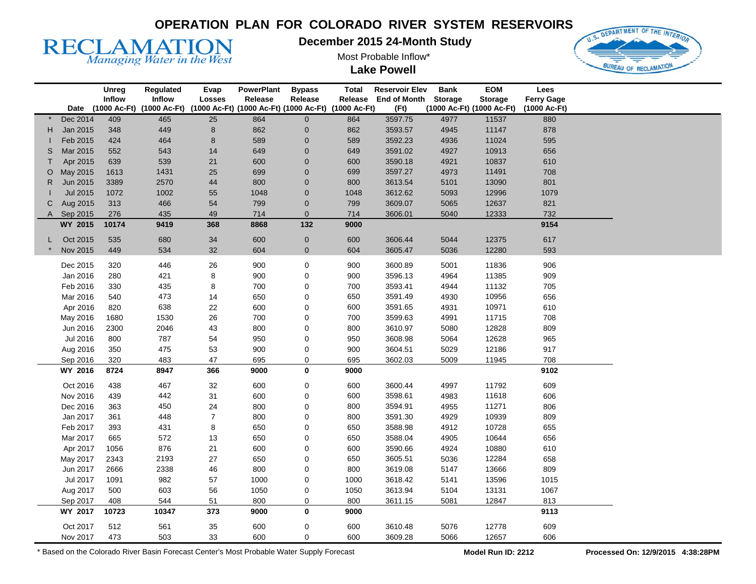

**December 2015 24-Month Study** 

Most Probable Inflow\*

**Lake Powell** 



|    |                      | Unreg<br>Inflow | Regulated<br><b>Inflow</b> | Evap<br><b>Losses</b> | <b>PowerPlant</b><br>Release                        | <b>Bypass</b><br>Release | Total<br>Release | <b>Reservoir Elev</b><br><b>End of Month</b> | <b>Bank</b><br><b>Storage</b> | <b>EOM</b><br><b>Storage</b> | Lees<br><b>Ferry Gage</b> |  |
|----|----------------------|-----------------|----------------------------|-----------------------|-----------------------------------------------------|--------------------------|------------------|----------------------------------------------|-------------------------------|------------------------------|---------------------------|--|
|    | Date                 |                 | (1000 Ac-Ft) (1000 Ac-Ft)  |                       | (1000 Ac-Ft) (1000 Ac-Ft) (1000 Ac-Ft) (1000 Ac-Ft) |                          |                  | (Ft)                                         |                               | (1000 Ac-Ft) (1000 Ac-Ft)    | (1000 Ac-Ft)              |  |
|    | Dec 2014             | 409             | 465                        | $\overline{25}$       | 864                                                 | $\overline{0}$           | 864              | 3597.75                                      | 4977                          | 11537                        | 880                       |  |
| H. | Jan 2015             | 348             | 449                        | 8                     | 862                                                 | $\pmb{0}$                | 862              | 3593.57                                      | 4945                          | 11147                        | 878                       |  |
|    | Feb 2015             | 424             | 464                        | 8                     | 589                                                 | $\pmb{0}$                | 589              | 3592.23                                      | 4936                          | 11024                        | 595                       |  |
| S  | Mar 2015             | 552             | 543                        | 14                    | 649                                                 | $\pmb{0}$                | 649              | 3591.02                                      | 4927                          | 10913                        | 656                       |  |
|    | Apr 2015             | 639             | 539                        | 21                    | 600                                                 | $\pmb{0}$                | 600              | 3590.18                                      | 4921                          | 10837                        | 610                       |  |
| O  | May 2015             | 1613            | 1431                       | 25                    | 699                                                 | $\pmb{0}$                | 699              | 3597.27                                      | 4973                          | 11491                        | 708                       |  |
| R  | Jun 2015             | 3389            | 2570                       | 44                    | 800                                                 | $\pmb{0}$                | 800              | 3613.54                                      | 5101                          | 13090                        | 801                       |  |
|    | <b>Jul 2015</b>      | 1072            | 1002                       | 55                    | 1048                                                | $\pmb{0}$                | 1048             | 3612.62                                      | 5093                          | 12996                        | 1079                      |  |
| С  | Aug 2015             | 313             | 466                        | 54                    | 799                                                 | $\pmb{0}$                | 799              | 3609.07                                      | 5065                          | 12637                        | 821                       |  |
| A  | Sep 2015             | 276             | 435                        | 49                    | 714                                                 | $\pmb{0}$                | 714              | 3606.01                                      | 5040                          | 12333                        | 732                       |  |
|    | WY 2015              | 10174           | 9419                       | 368                   | 8868                                                | 132                      | 9000             |                                              |                               |                              | 9154                      |  |
|    | Oct 2015             | 535             | 680                        | 34                    | 600                                                 | $\pmb{0}$                | 600              | 3606.44                                      | 5044                          | 12375                        | 617                       |  |
|    | Nov 2015             | 449             | 534                        | 32                    | 604                                                 | $\mathbf 0$              | 604              | 3605.47                                      | 5036                          | 12280                        | 593                       |  |
|    |                      |                 |                            |                       |                                                     |                          |                  |                                              |                               |                              |                           |  |
|    | Dec 2015<br>Jan 2016 | 320             | 446                        | $26\,$                | 900<br>900                                          | 0<br>0                   | 900<br>900       | 3600.89<br>3596.13                           | 5001                          | 11836                        | 906                       |  |
|    | Feb 2016             | 280<br>330      | 421<br>435                 | 8<br>8                | 700                                                 | $\pmb{0}$                | 700              | 3593.41                                      | 4964                          | 11385<br>11132               | 909<br>705                |  |
|    | Mar 2016             | 540             | 473                        | 14                    | 650                                                 | $\pmb{0}$                | 650              | 3591.49                                      | 4944<br>4930                  | 10956                        | 656                       |  |
|    | Apr 2016             | 820             | 638                        | 22                    | 600                                                 | 0                        | 600              | 3591.65                                      | 4931                          | 10971                        | 610                       |  |
|    | May 2016             | 1680            | 1530                       | 26                    | 700                                                 | 0                        | 700              | 3599.63                                      | 4991                          | 11715                        | 708                       |  |
|    | Jun 2016             | 2300            | 2046                       | 43                    | 800                                                 | 0                        | 800              | 3610.97                                      | 5080                          | 12828                        | 809                       |  |
|    | Jul 2016             | 800             | 787                        | 54                    | 950                                                 | 0                        | 950              | 3608.98                                      | 5064                          | 12628                        | 965                       |  |
|    |                      | 350             | 475                        | 53                    | 900                                                 | 0                        | 900              | 3604.51                                      | 5029                          | 12186                        | 917                       |  |
|    | Aug 2016<br>Sep 2016 | 320             | 483                        | 47                    | 695                                                 | 0                        | 695              | 3602.03                                      | 5009                          | 11945                        | 708                       |  |
|    | WY 2016              | 8724            | 8947                       | 366                   | 9000                                                | 0                        | 9000             |                                              |                               |                              | 9102                      |  |
|    |                      |                 |                            |                       |                                                     |                          |                  |                                              |                               |                              |                           |  |
|    | Oct 2016             | 438             | 467                        | 32                    | 600                                                 | 0                        | 600              | 3600.44                                      | 4997                          | 11792                        | 609                       |  |
|    | Nov 2016             | 439             | 442                        | 31                    | 600                                                 | $\mathbf 0$              | 600              | 3598.61                                      | 4983                          | 11618                        | 606                       |  |
|    | Dec 2016             | 363             | 450                        | 24                    | 800                                                 | 0                        | 800              | 3594.91                                      | 4955                          | 11271                        | 806                       |  |
|    | Jan 2017             | 361             | 448                        | $\overline{7}$        | 800                                                 | 0                        | 800              | 3591.30                                      | 4929                          | 10939                        | 809                       |  |
|    | Feb 2017             | 393             | 431                        | 8                     | 650                                                 | 0                        | 650              | 3588.98                                      | 4912                          | 10728                        | 655                       |  |
|    | Mar 2017             | 665             | 572                        | 13                    | 650                                                 | 0                        | 650              | 3588.04                                      | 4905                          | 10644                        | 656                       |  |
|    | Apr 2017             | 1056            | 876                        | 21                    | 600                                                 | 0                        | 600              | 3590.66                                      | 4924                          | 10880                        | 610                       |  |
|    | May 2017             | 2343            | 2193                       | 27                    | 650                                                 | 0                        | 650              | 3605.51                                      | 5036                          | 12284                        | 658                       |  |
|    | Jun 2017             | 2666            | 2338                       | 46                    | 800                                                 | 0                        | 800              | 3619.08                                      | 5147                          | 13666                        | 809                       |  |
|    | Jul 2017             | 1091            | 982                        | 57                    | 1000                                                | $\pmb{0}$                | 1000             | 3618.42                                      | 5141                          | 13596                        | 1015                      |  |
|    | Aug 2017             | 500             | 603                        | 56                    | 1050                                                | 0                        | 1050             | 3613.94                                      | 5104                          | 13131                        | 1067                      |  |
|    | Sep 2017             | 408             | 544                        | 51                    | 800                                                 | 0                        | 800              | 3611.15                                      | 5081                          | 12847                        | 813                       |  |
|    | WY 2017              | 10723           | 10347                      | 373                   | 9000                                                | 0                        | 9000             |                                              |                               |                              | 9113                      |  |
|    | Oct 2017             | 512             | 561                        | 35                    | 600                                                 | 0                        | 600              | 3610.48                                      | 5076                          | 12778                        | 609                       |  |
|    | Nov 2017             | 473             | 503                        | 33                    | 600                                                 | 0                        | 600              | 3609.28                                      | 5066                          | 12657                        | 606                       |  |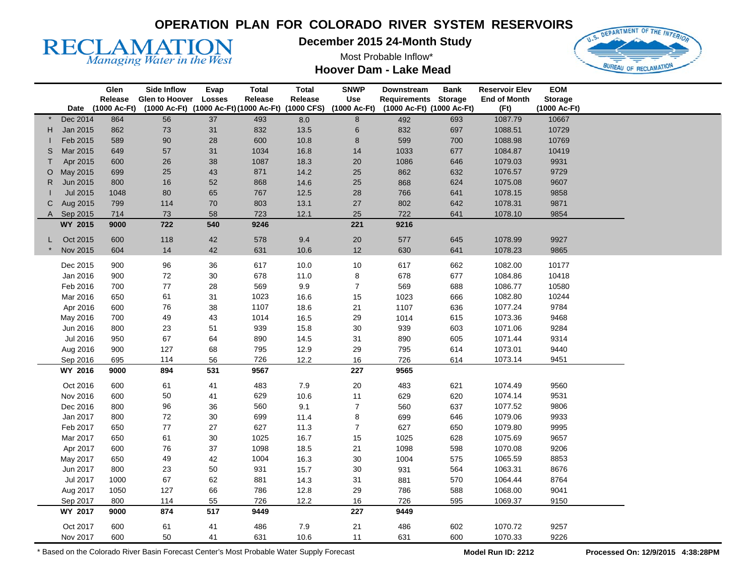

**December 2015 24-Month Study** 

Most Probable Inflow\*



**Hoover Dam - Lake Mead** 

|              |                 | Glen         | <b>Side Inflow</b>                               | Evap          | <b>Total</b> | <b>Total</b> | <b>SNWP</b>      | Downstream                | <b>Bank</b>    | <b>Reservoir Elev</b> | <b>EOM</b>     |  |
|--------------|-----------------|--------------|--------------------------------------------------|---------------|--------------|--------------|------------------|---------------------------|----------------|-----------------------|----------------|--|
|              |                 | Release      | Glen to Hoover                                   | <b>Losses</b> | Release      | Release      | <b>Use</b>       | Requirements              | <b>Storage</b> | <b>End of Month</b>   | <b>Storage</b> |  |
|              | Date            | (1000 Ac-Ft) | (1000 Ac-Ft) (1000 Ac-Ft)(1000 Ac-Ft) (1000 CFS) |               |              |              | (1000 Ac-Ft)     | (1000 Ac-Ft) (1000 Ac-Ft) |                | (Ft)                  | (1000 Ac-Ft)   |  |
|              | Dec 2014        | 864          | 56                                               | 37            | 493          | 8.0          | 8                | 492                       | 693            | 1087.79               | 10667          |  |
| H.           | Jan 2015        | 862          | $73\,$                                           | 31            | 832          | 13.5         | 6                | 832                       | 697            | 1088.51               | 10729          |  |
|              | Feb 2015        | 589          | $90\,$                                           | 28            | 600          | 10.8         | 8                | 599                       | 700            | 1088.98               | 10769          |  |
| S            | Mar 2015        | 649          | 57                                               | 31            | 1034         | 16.8         | 14               | 1033                      | 677            | 1084.87               | 10419          |  |
|              | Apr 2015        | 600          | 26                                               | 38            | 1087         | 18.3         | $20\,$           | 1086                      | 646            | 1079.03               | 9931           |  |
| O            | May 2015        | 699          | 25                                               | 43            | 871          | 14.2         | 25               | 862                       | 632            | 1076.57               | 9729           |  |
| R.           | Jun 2015        | 800          | $16\,$                                           | 52            | 868          | 14.6         | 25               | 868                       | 624            | 1075.08               | 9607           |  |
|              | <b>Jul 2015</b> | 1048         | 80                                               | 65            | 767          | 12.5         | 28               | 766                       | 641            | 1078.15               | 9858           |  |
| С            | Aug 2015        | 799          | 114                                              | 70            | 803          | 13.1         | 27               | 802                       | 642            | 1078.31               | 9871           |  |
| $\mathsf{A}$ | Sep 2015        | 714          | 73                                               | 58            | 723          | 12.1         | 25               | 722                       | 641            | 1078.10               | 9854           |  |
|              | WY 2015         | 9000         | 722                                              | 540           | 9246         |              | 221              | 9216                      |                |                       |                |  |
|              | Oct 2015        | 600          | 118                                              | 42            | 578          | 9.4          | $20\,$           | 577                       | 645            | 1078.99               | 9927           |  |
|              | Nov 2015        | 604          | 14                                               | 42            | 631          | 10.6         | 12               | 630                       | 641            | 1078.23               | 9865           |  |
|              |                 |              |                                                  |               |              |              |                  |                           |                |                       |                |  |
|              | Dec 2015        | 900          | 96                                               | 36            | 617          | 10.0         | $10$             | 617                       | 662            | 1082.00               | 10177          |  |
|              | Jan 2016        | 900          | $72\,$                                           | 30            | 678          | 11.0         | 8                | 678                       | 677            | 1084.86               | 10418          |  |
|              | Feb 2016        | 700          | 77                                               | 28            | 569          | 9.9          | $\boldsymbol{7}$ | 569                       | 688            | 1086.77               | 10580          |  |
|              | Mar 2016        | 650          | 61                                               | 31            | 1023         | 16.6         | 15               | 1023                      | 666            | 1082.80               | 10244          |  |
|              | Apr 2016        | 600          | 76                                               | 38            | 1107         | 18.6         | 21               | 1107                      | 636            | 1077.24               | 9784           |  |
|              | May 2016        | 700          | 49                                               | 43            | 1014         | 16.5         | 29               | 1014                      | 615            | 1073.36               | 9468           |  |
|              | Jun 2016        | 800          | 23                                               | 51            | 939          | 15.8         | 30               | 939                       | 603            | 1071.06               | 9284           |  |
|              | <b>Jul 2016</b> | 950          | 67                                               | 64            | 890          | 14.5         | 31               | 890                       | 605            | 1071.44               | 9314           |  |
|              | Aug 2016        | 900          | 127                                              | 68            | 795          | 12.9         | 29               | 795                       | 614            | 1073.01               | 9440           |  |
|              | Sep 2016        | 695          | 114                                              | 56            | 726          | 12.2         | 16               | 726                       | 614            | 1073.14               | 9451           |  |
|              | WY 2016         | 9000         | 894                                              | 531           | 9567         |              | 227              | 9565                      |                |                       |                |  |
|              | Oct 2016        | 600          | 61                                               | 41            | 483          | $7.9$        | $20\,$           | 483                       | 621            | 1074.49               | 9560           |  |
|              | Nov 2016        | 600          | 50                                               | 41            | 629          | 10.6         | 11               | 629                       | 620            | 1074.14               | 9531           |  |
|              | Dec 2016        | 800          | 96                                               | 36            | 560          | 9.1          | $\overline{7}$   | 560                       | 637            | 1077.52               | 9806           |  |
|              | Jan 2017        | 800          | $72\,$                                           | 30            | 699          | 11.4         | 8                | 699                       | 646            | 1079.06               | 9933           |  |
|              | Feb 2017        | 650          | $77 \,$                                          | 27            | 627          | 11.3         | $\boldsymbol{7}$ | 627                       | 650            | 1079.80               | 9995           |  |
|              | Mar 2017        | 650          | 61                                               | 30            | 1025         | 16.7         | 15               | 1025                      | 628            | 1075.69               | 9657           |  |
|              | Apr 2017        | 600          | 76                                               | 37            | 1098         | 18.5         | 21               | 1098                      | 598            | 1070.08               | 9206           |  |
|              | May 2017        | 650          | 49                                               | 42            | 1004         | 16.3         | $30\,$           | 1004                      | 575            | 1065.59               | 8853           |  |
|              | Jun 2017        |              | 23                                               | 50            | 931          | 15.7         | $30\,$           | 931                       | 564            | 1063.31               | 8676           |  |
|              | Jul 2017        | 800<br>1000  | 67                                               | 62            | 881          | 14.3         | 31               | 881                       | 570            | 1064.44               | 8764           |  |
|              | Aug 2017        | 1050         | 127                                              | 66            | 786          |              | 29               |                           | 588            | 1068.00               | 9041           |  |
|              |                 |              |                                                  | 55            |              | 12.8<br>12.2 | 16               | 786                       |                |                       | 9150           |  |
|              | Sep 2017        | 800<br>9000  | 114<br>874                                       | 517           | 726<br>9449  |              | 227              | 726                       | 595            | 1069.37               |                |  |
|              | WY 2017         |              |                                                  |               |              |              |                  | 9449                      |                |                       |                |  |
|              | Oct 2017        | 600          | 61                                               | 41            | 486          | $7.9$        | 21               | 486                       | 602            | 1070.72               | 9257           |  |
|              | Nov 2017        | 600          | 50                                               | 41            | 631          | 10.6         | 11               | 631                       | 600            | 1070.33               | 9226           |  |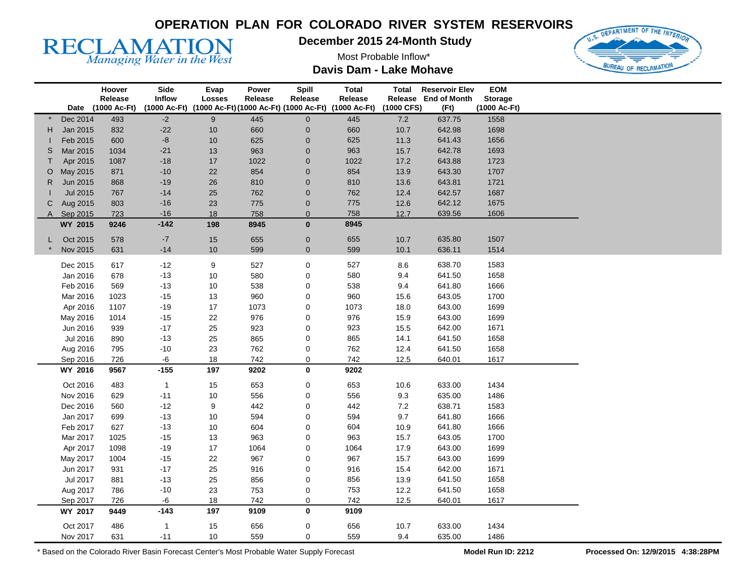

**December 2015 24-Month Study** 

Most Probable Inflow\* **Davis Dam - Lake Mohave** 



|            |                     | Hoover       | Side          | Evap      | Power       | Spill            | <b>Total</b>                                      | <b>Total</b> | <b>Reservoir Elev</b> | EOM            |  |
|------------|---------------------|--------------|---------------|-----------|-------------|------------------|---------------------------------------------------|--------------|-----------------------|----------------|--|
|            |                     | Release      | <b>Inflow</b> | Losses    | Release     | Release          | Release                                           |              | Release End of Month  | <b>Storage</b> |  |
|            | Date                | (1000 Ac-Ft) | (1000 Ac-Ft)  |           |             |                  | (1000 Ac-Ft)(1000 Ac-Ft)(1000 Ac-Ft) (1000 Ac-Ft) | (1000 CFS)   | (Ft)                  | (1000 Ac-Ft)   |  |
|            | Dec 2014            | 493          | $-2$          | 9         | 445         | $\mathbf 0$      | 445                                               | 7.2          | 637.75                | 1558           |  |
| H.         | Jan 2015            | 832          | $-22$         | $10\,$    | 660         | $\mathbf 0$      | 660                                               | 10.7         | 642.98                | 1698           |  |
|            | Feb 2015            | 600          | $-8$          | 10        | 625         | $\boldsymbol{0}$ | 625                                               | 11.3         | 641.43                | 1656           |  |
| S          | Mar 2015            | 1034         | $-21$         | $13$      | 963         | $\mathbf 0$      | 963                                               | 15.7         | 642.78                | 1693           |  |
| T.         | Apr 2015            | 1087         | $-18$         | 17        | 1022        | $\mathbf 0$      | 1022                                              | 17.2         | 643.88                | 1723           |  |
| O          | May 2015            | 871          | $-10$         | 22        | 854         | $\mathbf 0$      | 854                                               | 13.9         | 643.30                | 1707           |  |
| R.         | Jun 2015            | 868          | $-19$         | $26\,$    | 810         | $\mathbf 0$      | 810                                               | 13.6         | 643.81                | 1721           |  |
|            | Jul 2015            | 767          | $-14$         | 25        | 762         | $\theta$         | 762                                               | 12.4         | 642.57                | 1687           |  |
| C          | Aug 2015            | 803          | $-16$         | 23        | 775         | $\pmb{0}$        | 775                                               | 12.6         | 642.12                | 1675           |  |
| A Sep 2015 |                     | 723          | $-16$         | 18        | 758         | $\mathbf 0$      | 758                                               | 12.7         | 639.56                | 1606           |  |
|            | WY 2015             | 9246         | $-142$        | 198       | 8945        | $\bf{0}$         | 8945                                              |              |                       |                |  |
| L.         | Oct 2015            | 578          | $-7$          | $15\,$    | 655         | $\mathbf 0$      | 655                                               | 10.7         | 635.80                | 1507           |  |
|            | Nov 2015            | 631          | $-14$         | $10$      | 599         | $\pmb{0}$        | 599                                               | 10.1         | 636.11                | 1514           |  |
|            |                     |              |               |           |             |                  |                                                   |              |                       |                |  |
|            | Dec 2015            | 617          | $-12$         | 9         | 527         | $\pmb{0}$        | 527                                               | 8.6          | 638.70                | 1583           |  |
|            | Jan 2016            | 678          | $-13$         | 10        | 580         | $\mathbf 0$      | 580                                               | 9.4          | 641.50                | 1658           |  |
|            | Feb 2016            | 569          | $-13$         | 10        | 538         | 0                | 538                                               | 9.4          | 641.80                | 1666           |  |
|            | Mar 2016            | 1023         | $-15$         | $13$      | 960         | $\mathbf 0$      | 960                                               | 15.6         | 643.05                | 1700           |  |
|            | Apr 2016            | 1107         | $-19$         | $17$      | 1073        | $\mathbf 0$      | 1073                                              | 18.0         | 643.00                | 1699           |  |
|            | May 2016            | 1014         | $-15$         | 22        | 976         | 0                | 976                                               | 15.9         | 643.00                | 1699           |  |
|            | Jun 2016            | 939          | $-17$         | 25        | 923         | 0                | 923                                               | 15.5         | 642.00                | 1671           |  |
|            | Jul 2016            | 890          | $-13$         | 25        | 865         | $\mathbf 0$      | 865                                               | 14.1         | 641.50                | 1658           |  |
|            | Aug 2016            | 795          | $-10$         | 23        | 762         | $\pmb{0}$        | 762                                               | 12.4         | 641.50                | 1658           |  |
|            | Sep 2016<br>WY 2016 | 726<br>9567  | -6<br>$-155$  | 18<br>197 | 742<br>9202 | 0<br>$\mathbf 0$ | 742<br>9202                                       | 12.5         | 640.01                | 1617           |  |
|            |                     |              |               |           |             |                  |                                                   |              |                       |                |  |
|            | Oct 2016            | 483          | $\mathbf{1}$  | $15\,$    | 653         | 0                | 653                                               | 10.6         | 633.00                | 1434           |  |
|            | Nov 2016            | 629          | $-11$         | $10$      | 556         | 0                | 556                                               | 9.3          | 635.00                | 1486           |  |
|            | Dec 2016            | 560          | $-12$         | 9         | 442         | 0                | 442                                               | $7.2\,$      | 638.71                | 1583           |  |
|            | Jan 2017            | 699          | $-13$         | $10\,$    | 594         | 0                | 594                                               | 9.7          | 641.80                | 1666           |  |
|            | Feb 2017            | 627          | $-13$         | 10        | 604         | 0                | 604                                               | 10.9         | 641.80                | 1666           |  |
|            | Mar 2017            | 1025         | $-15$         | 13        | 963         | 0                | 963                                               | 15.7         | 643.05                | 1700           |  |
|            | Apr 2017            | 1098         | $-19$         | 17        | 1064        | 0                | 1064                                              | 17.9         | 643.00                | 1699           |  |
|            | May 2017            | 1004         | $-15$         | 22        | 967         | 0                | 967                                               | 15.7         | 643.00                | 1699           |  |
|            | Jun 2017            | 931          | $-17$         | 25        | 916         | 0                | 916                                               | 15.4         | 642.00                | 1671           |  |
|            | Jul 2017            | 881          | $-13$         | 25        | 856         | 0                | 856                                               | 13.9         | 641.50                | 1658           |  |
|            | Aug 2017            | 786          | $-10$         | 23        | 753         | $\pmb{0}$        | 753                                               | 12.2         | 641.50                | 1658           |  |
|            | Sep 2017            | 726          | -6            | 18        | 742         | $\mathbf 0$      | 742                                               | 12.5         | 640.01                | 1617           |  |
|            | WY 2017             | 9449         | $-143$        | 197       | 9109        | 0                | 9109                                              |              |                       |                |  |
|            | Oct 2017            | 486          | $\mathbf{1}$  | 15        | 656         | 0                | 656                                               | 10.7         | 633.00                | 1434           |  |
|            | Nov 2017            | 631          | $-11$         | 10        | 559         | $\Omega$         | 559                                               | 9.4          | 635.00                | 1486           |  |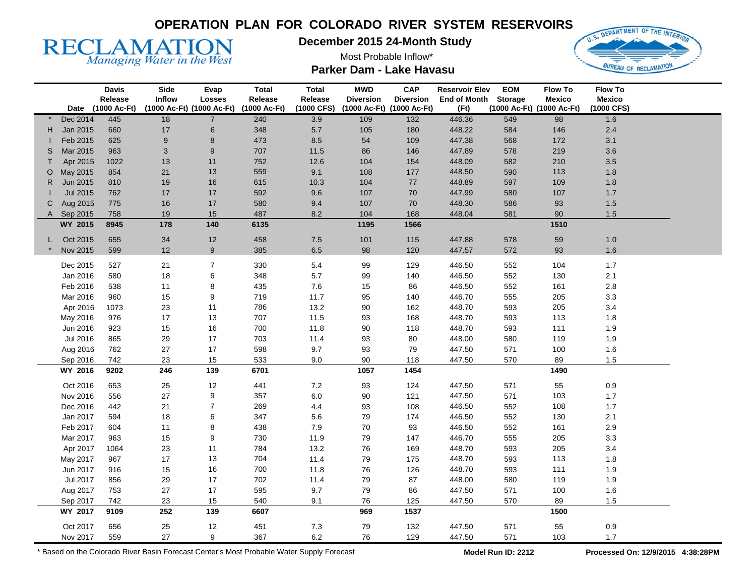**December 2015 24-Month Study** 



**RECLAMATION** 

Most Probable Inflow\* **Parker Dam - Lake Havasu** 

|    |                 | <b>Davis</b><br>Release | Side<br>Inflow            | <b>Evap</b><br><b>Losses</b> | <b>Total</b><br>Release | <b>Total</b><br>Release | <b>MWD</b><br><b>Diversion</b> | <b>CAP</b><br><b>Diversion</b> | <b>Reservoir Elev</b><br><b>End of Month</b> | <b>EOM</b><br><b>Storage</b> | <b>Flow To</b><br><b>Mexico</b> | <b>Flow To</b><br><b>Mexico</b> |  |
|----|-----------------|-------------------------|---------------------------|------------------------------|-------------------------|-------------------------|--------------------------------|--------------------------------|----------------------------------------------|------------------------------|---------------------------------|---------------------------------|--|
|    | Date            | (1000 Ac-Ft)            | (1000 Ac-Ft) (1000 Ac-Ft) |                              | (1000 Ac-Ft)            | (1000 CFS)              | (1000 Ac-Ft) (1000 Ac-Ft)      |                                | (Ft)                                         | (1000 Ac-Ft) (1000 Ac-Ft)    |                                 | (1000 CFS)                      |  |
|    | Dec 2014        | 445                     | 18                        | $\overline{7}$               | 240                     | 3.9                     | 109                            | 132                            | 446.36                                       | 549                          | 98                              | 1.6                             |  |
| H. | Jan 2015        | 660                     | 17                        | 6                            | 348                     | $5.7\,$                 | 105                            | 180                            | 448.22                                       | 584                          | 146                             | $2.4\,$                         |  |
|    | Feb 2015        | 625                     | 9                         | 8                            | 473                     | 8.5                     | 54                             | 109                            | 447.38                                       | 568                          | 172                             | 3.1                             |  |
| S  | Mar 2015        | 963                     | 3                         | 9                            | 707                     | 11.5                    | 86                             | 146                            | 447.89                                       | 578                          | 219                             | 3.6                             |  |
|    | Apr 2015        | 1022                    | 13                        | 11                           | 752                     | 12.6                    | 104                            | 154                            | 448.09                                       | 582                          | 210                             | 3.5                             |  |
| O  | May 2015        | 854                     | 21                        | 13                           | 559                     | 9.1                     | 108                            | 177                            | 448.50                                       | 590                          | 113                             | 1.8                             |  |
| R. | Jun 2015        | 810                     | 19                        | 16                           | 615                     | 10.3                    | 104                            | 77                             | 448.89                                       | 597                          | 109                             | 1.8                             |  |
|    | <b>Jul 2015</b> | 762                     | 17                        | 17                           | 592                     | 9.6                     | 107                            | 70                             | 447.99                                       | 580                          | 107                             | 1.7                             |  |
| C  | Aug 2015        | 775                     | 16                        | 17                           | 580                     | 9.4                     | 107                            | 70                             | 448.30                                       | 586                          | 93                              | 1.5                             |  |
|    | A Sep 2015      | 758                     | 19                        | 15                           | 487                     | 8.2                     | 104                            | 168                            | 448.04                                       | 581                          | 90                              | 1.5                             |  |
|    | WY 2015         | 8945                    | 178                       | 140                          | 6135                    |                         | 1195                           | 1566                           |                                              |                              | 1510                            |                                 |  |
|    | Oct 2015        | 655                     | 34                        | 12                           | 458                     | 7.5                     | 101                            | 115                            | 447.88                                       | 578                          | 59                              | $1.0$                           |  |
|    | Nov 2015        | 599                     | 12                        | 9                            | 385                     | 6.5                     | 98                             | 120                            | 447.57                                       | 572                          | 93                              | 1.6                             |  |
|    | Dec 2015        | 527                     | 21                        | $\overline{7}$               | 330                     | $5.4\,$                 | 99                             | 129                            | 446.50                                       | 552                          | 104                             | $1.7$                           |  |
|    | Jan 2016        | 580                     | 18                        | 6                            | 348                     | $5.7\,$                 | 99                             | 140                            | 446.50                                       | 552                          | 130                             | 2.1                             |  |
|    | Feb 2016        | 538                     | 11                        | 8                            | 435                     | $7.6$                   | 15                             | 86                             | 446.50                                       | 552                          | 161                             | 2.8                             |  |
|    | Mar 2016        | 960                     | 15                        | 9                            | 719                     | 11.7                    | 95                             | 140                            | 446.70                                       | 555                          | 205                             | 3.3                             |  |
|    | Apr 2016        | 1073                    | 23                        | 11                           | 786                     | 13.2                    | $90\,$                         | 162                            | 448.70                                       | 593                          | 205                             | 3.4                             |  |
|    | May 2016        | 976                     | 17                        | 13                           | 707                     | 11.5                    | 93                             | 168                            | 448.70                                       | 593                          | 113                             | $1.8\,$                         |  |
|    | Jun 2016        | 923                     | 15                        | 16                           | 700                     | 11.8                    | 90                             | 118                            | 448.70                                       | 593                          | 111                             | $1.9$                           |  |
|    | Jul 2016        | 865                     | 29                        | 17                           | 703                     | 11.4                    | 93                             | 80                             | 448.00                                       | 580                          | 119                             | 1.9                             |  |
|    | Aug 2016        | 762                     | 27                        | 17                           | 598                     | 9.7                     | 93                             | 79                             | 447.50                                       | 571                          | 100                             | 1.6                             |  |
|    | Sep 2016        | 742                     | 23                        | 15                           | 533                     | 9.0                     | 90                             | 118                            | 447.50                                       | 570                          | 89                              | 1.5                             |  |
|    | WY 2016         | 9202                    | 246                       | 139                          | 6701                    |                         | 1057                           | 1454                           |                                              |                              | 1490                            |                                 |  |
|    | Oct 2016        | 653                     | 25                        | 12                           | 441                     | $7.2\,$                 | 93                             | 124                            | 447.50                                       | 571                          | 55                              | $0.9\,$                         |  |
|    | Nov 2016        | 556                     | 27                        | 9                            | 357                     | 6.0                     | 90                             | 121                            | 447.50                                       | 571                          | 103                             | 1.7                             |  |
|    | Dec 2016        | 442                     | 21                        | $\overline{7}$               | 269                     | 4.4                     | 93                             | 108                            | 446.50                                       | 552                          | 108                             | 1.7                             |  |
|    | Jan 2017        | 594                     | 18                        | 6                            | 347                     | 5.6                     | 79                             | 174                            | 446.50                                       | 552                          | 130                             | 2.1                             |  |
|    | Feb 2017        | 604                     | 11                        | 8                            | 438                     | 7.9                     | 70                             | 93                             | 446.50                                       | 552                          | 161                             | 2.9                             |  |
|    | Mar 2017        | 963                     | 15                        | 9                            | 730                     | 11.9                    | 79                             | 147                            | 446.70                                       | 555                          | 205                             | 3.3                             |  |
|    | Apr 2017        | 1064                    | 23                        | 11                           | 784                     | 13.2                    | 76                             | 169                            | 448.70                                       | 593                          | 205                             | 3.4                             |  |
|    | May 2017        | 967                     | 17                        | 13                           | 704                     | 11.4                    | 79                             | 175                            | 448.70                                       | 593                          | 113                             | 1.8                             |  |
|    | Jun 2017        | 916                     | 15                        | $16\,$                       | 700                     | 11.8                    | 76                             | 126                            | 448.70                                       | 593                          | 111                             | 1.9                             |  |
|    | Jul 2017        | 856                     | 29                        | 17                           | 702                     | 11.4                    | 79                             | 87                             | 448.00                                       | 580                          | 119                             | 1.9                             |  |
|    | Aug 2017        | 753                     | 27                        | 17                           | 595                     | 9.7                     | 79                             | 86                             | 447.50                                       | 571                          | 100                             | 1.6                             |  |
|    | Sep 2017        | 742                     | 23                        | 15                           | 540                     | 9.1                     | 76                             | 125                            | 447.50                                       | 570                          | 89                              | 1.5                             |  |
|    | WY 2017         | 9109                    | 252                       | 139                          | 6607                    |                         | 969                            | 1537                           |                                              |                              | 1500                            |                                 |  |
|    | Oct 2017        | 656                     | 25                        | 12                           | 451                     | $7.3$                   | 79                             | 132                            | 447.50                                       | 571                          | 55                              | $0.9\,$                         |  |
|    | Nov 2017        | 559                     | 27                        | 9                            | 367                     | $6.2\,$                 | 76                             | 129                            | 447.50                                       | 571                          | 103                             | $1.7$                           |  |
|    |                 |                         |                           |                              |                         |                         |                                |                                |                                              |                              |                                 |                                 |  |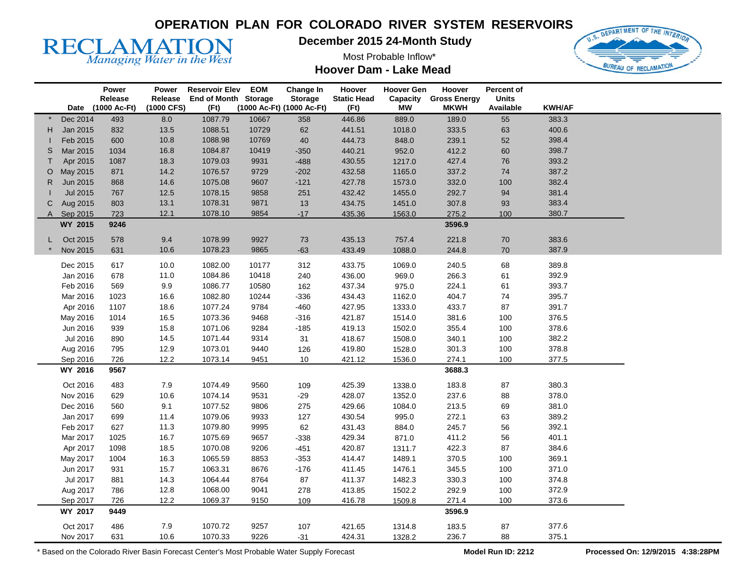

**December 2015 24-Month Study** 

Most Probable Inflow\*





|              |                 | Power        | Power      | <b>Reservoir Elev</b> | <b>EOM</b> | Change In                 | Hoover             | <b>Hoover Gen</b> | Hoover              | Percent of   |               |  |
|--------------|-----------------|--------------|------------|-----------------------|------------|---------------------------|--------------------|-------------------|---------------------|--------------|---------------|--|
|              |                 | Release      | Release    | End of Month Storage  |            | <b>Storage</b>            | <b>Static Head</b> | Capacity          | <b>Gross Energy</b> | <b>Units</b> |               |  |
|              | Date            | (1000 Ac-Ft) | (1000 CFS) | (Ft)                  |            | (1000 Ac-Ft) (1000 Ac-Ft) | (Ft)               | <b>MW</b>         | <b>MKWH</b>         | Available    | <b>KWH/AF</b> |  |
|              | Dec 2014        | 493          | 8.0        | 1087.79               | 10667      | 358                       | 446.86             | 889.0             | 189.0               | 55           | 383.3         |  |
| H.           | Jan 2015        | 832          | 13.5       | 1088.51               | 10729      | 62                        | 441.51             | 1018.0            | 333.5               | 63           | 400.6         |  |
|              | Feb 2015        | 600          | 10.8       | 1088.98               | 10769      | 40                        | 444.73             | 848.0             | 239.1               | 52           | 398.4         |  |
| S            | Mar 2015        | 1034         | 16.8       | 1084.87               | 10419      | $-350$                    | 440.21             | 952.0             | 412.2               | 60           | 398.7         |  |
| $\mathsf{T}$ | Apr 2015        | 1087         | 18.3       | 1079.03               | 9931       | $-488$                    | 430.55             | 1217.0            | 427.4               | ${\bf 76}$   | 393.2         |  |
| O            | May 2015        | 871          | 14.2       | 1076.57               | 9729       | $-202$                    | 432.58             | 1165.0            | 337.2               | 74           | 387.2         |  |
| R.           | Jun 2015        | 868          | 14.6       | 1075.08               | 9607       | $-121$                    | 427.78             | 1573.0            | 332.0               | 100          | 382.4         |  |
|              | <b>Jul 2015</b> | 767          | 12.5       | 1078.15               | 9858       | 251                       | 432.42             | 1455.0            | 292.7               | 94           | 381.4         |  |
| C            | Aug 2015        | 803          | 13.1       | 1078.31               | 9871       | 13                        | 434.75             | 1451.0            | 307.8               | 93           | 383.4         |  |
|              | A Sep 2015      | 723          | 12.1       | 1078.10               | 9854       | $-17$                     | 435.36             | 1563.0            | 275.2               | 100          | 380.7         |  |
|              | WY 2015         | 9246         |            |                       |            |                           |                    |                   | 3596.9              |              |               |  |
|              | Oct 2015        | 578          | 9.4        | 1078.99               | 9927       | 73                        | 435.13             | 757.4             | 221.8               | $70\,$       | 383.6         |  |
|              | Nov 2015        | 631          | 10.6       | 1078.23               | 9865       | $-63$                     | 433.49             | 1088.0            | 244.8               | 70           | 387.9         |  |
|              |                 |              |            |                       |            |                           |                    |                   |                     |              |               |  |
|              | Dec 2015        | 617          | 10.0       | 1082.00               | 10177      | 312                       | 433.75             | 1069.0            | 240.5               | 68           | 389.8         |  |
|              | Jan 2016        | 678          | 11.0       | 1084.86               | 10418      | 240                       | 436.00             | 969.0             | 266.3               | 61           | 392.9         |  |
|              | Feb 2016        | 569          | 9.9        | 1086.77               | 10580      | 162                       | 437.34             | 975.0             | 224.1               | 61           | 393.7         |  |
|              | Mar 2016        | 1023         | 16.6       | 1082.80               | 10244      | $-336$                    | 434.43             | 1162.0            | 404.7               | 74           | 395.7         |  |
|              | Apr 2016        | 1107         | 18.6       | 1077.24               | 9784       | $-460$                    | 427.95             | 1333.0            | 433.7               | 87           | 391.7         |  |
|              | May 2016        | 1014         | 16.5       | 1073.36               | 9468       | $-316$                    | 421.87             | 1514.0            | 381.6               | 100          | 376.5         |  |
|              | Jun 2016        | 939          | 15.8       | 1071.06               | 9284       | $-185$                    | 419.13             | 1502.0            | 355.4               | 100          | 378.6         |  |
|              | Jul 2016        | 890          | 14.5       | 1071.44               | 9314       | 31                        | 418.67             | 1508.0            | 340.1               | 100          | 382.2         |  |
|              | Aug 2016        | 795          | 12.9       | 1073.01               | 9440       | 126                       | 419.80             | 1528.0            | 301.3               | 100          | 378.8         |  |
|              | Sep 2016        | 726          | 12.2       | 1073.14               | 9451       | 10                        | 421.12             | 1536.0            | 274.1               | 100          | 377.5         |  |
|              | WY 2016         | 9567         |            |                       |            |                           |                    |                   | 3688.3              |              |               |  |
|              | Oct 2016        | 483          | 7.9        | 1074.49               | 9560       |                           | 425.39             |                   | 183.8               | 87           | 380.3         |  |
|              | Nov 2016        | 629          | 10.6       | 1074.14               | 9531       | 109<br>$-29$              | 428.07             | 1338.0<br>1352.0  | 237.6               | 88           | 378.0         |  |
|              | Dec 2016        | 560          | 9.1        | 1077.52               |            |                           | 429.66             | 1084.0            | 213.5               |              | 381.0         |  |
|              |                 |              |            |                       | 9806       | 275                       |                    |                   | 272.1               | 69           | 389.2         |  |
|              | Jan 2017        | 699          | 11.4       | 1079.06<br>1079.80    | 9933       | 127                       | 430.54             | 995.0             |                     | 63           | 392.1         |  |
|              | Feb 2017        | 627          | 11.3       |                       | 9995       | 62                        | 431.43             | 884.0             | 245.7               | 56           |               |  |
|              | Mar 2017        | 1025         | 16.7       | 1075.69               | 9657       | $-338$                    | 429.34             | 871.0             | 411.2               | 56           | 401.1         |  |
|              | Apr 2017        | 1098         | 18.5       | 1070.08               | 9206       | $-451$                    | 420.87             | 1311.7            | 422.3               | 87           | 384.6         |  |
|              | May 2017        | 1004         | 16.3       | 1065.59               | 8853       | $-353$                    | 414.47             | 1489.1            | 370.5               | 100          | 369.1         |  |
|              | Jun 2017        | 931          | 15.7       | 1063.31               | 8676       | $-176$                    | 411.45             | 1476.1            | 345.5               | 100          | 371.0         |  |
|              | Jul 2017        | 881          | 14.3       | 1064.44               | 8764       | 87                        | 411.37             | 1482.3            | 330.3               | 100          | 374.8         |  |
|              | Aug 2017        | 786          | 12.8       | 1068.00               | 9041       | 278                       | 413.85             | 1502.2            | 292.9               | 100          | 372.9         |  |
|              | Sep 2017        | 726          | 12.2       | 1069.37               | 9150       | 109                       | 416.78             | 1509.8            | 271.4               | 100          | 373.6         |  |
|              | WY 2017         | 9449         |            |                       |            |                           |                    |                   | 3596.9              |              |               |  |
|              | Oct 2017        | 486          | 7.9        | 1070.72               | 9257       | 107                       | 421.65             | 1314.8            | 183.5               | 87           | 377.6         |  |
|              | Nov 2017        | 631          | 10.6       | 1070.33               | 9226       | $-31$                     | 424.31             | 1328.2            | 236.7               | 88           | 375.1         |  |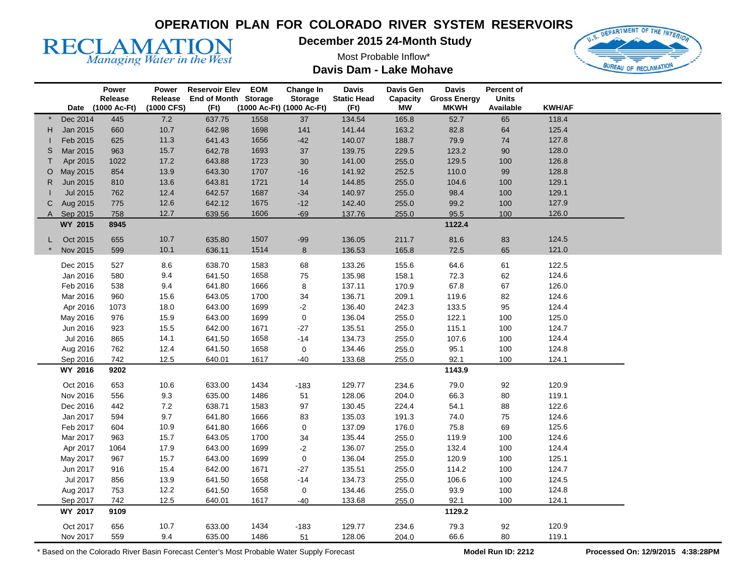# **RECLAMATION**

**December 2015 24-Month Study** 

Most Probable Inflow\* **Davis Dam - Lake Mohave** 



|    |                      | Power             | Power      | <b>Reservoir Elev</b> | <b>EOM</b> | Change In                 | <b>Davis</b>       | <b>Davis Gen</b> | <b>Davis</b>        | Percent of   |               |  |
|----|----------------------|-------------------|------------|-----------------------|------------|---------------------------|--------------------|------------------|---------------------|--------------|---------------|--|
|    |                      | Release           | Release    | End of Month Storage  |            | <b>Storage</b>            | <b>Static Head</b> | Capacity         | <b>Gross Energy</b> | <b>Units</b> |               |  |
|    |                      | Date (1000 Ac-Ft) | (1000 CFS) | (Ft)                  |            | (1000 Ac-Ft) (1000 Ac-Ft) | (Ft)               | <b>MW</b>        | <b>MKWH</b>         | Available    | <b>KWH/AF</b> |  |
|    | Dec 2014             | 445               | $7.2\,$    | 637.75                | 1558       | 37                        | 134.54             | 165.8            | 52.7                | 65           | 118.4         |  |
| H. | Jan 2015             | 660               | 10.7       | 642.98                | 1698       | 141                       | 141.44             | 163.2            | 82.8                | 64           | 125.4         |  |
|    | Feb 2015             | 625               | 11.3       | 641.43                | 1656       | $-42$                     | 140.07             | 188.7            | 79.9                | 74           | 127.8         |  |
| S  | Mar 2015             | 963               | 15.7       | 642.78                | 1693       | 37                        | 139.75             | 229.5            | 123.2               | 90           | 128.0         |  |
|    | Apr 2015             | 1022              | 17.2       | 643.88                | 1723       | 30                        | 141.00             | 255.0            | 129.5               | 100          | 126.8         |  |
| O  | May 2015             | 854               | 13.9       | 643.30                | 1707       | $-16$                     | 141.92             | 252.5            | 110.0               | $99\,$       | 128.8         |  |
| R. | Jun 2015             | 810               | 13.6       | 643.81                | 1721       | 14                        | 144.85             | 255.0            | 104.6               | 100          | 129.1         |  |
|    | Jul 2015             | 762               | 12.4       | 642.57                | 1687       | $-34$                     | 140.97             | 255.0            | 98.4                | 100          | 129.1         |  |
| C. | Aug 2015             | 775               | 12.6       | 642.12                | 1675       | $-12$                     | 142.40             | 255.0            | 99.2                | 100          | 127.9         |  |
|    | A Sep 2015           | 758               | 12.7       | 639.56                | 1606       | $-69$                     | 137.76             | 255.0            | 95.5                | 100          | 126.0         |  |
|    | WY 2015              | 8945              |            |                       |            |                           |                    |                  | 1122.4              |              |               |  |
| L. | Oct 2015             | 655               | $10.7$     | 635.80                | 1507       | $-99$                     | 136.05             | 211.7            | 81.6                | 83           | 124.5         |  |
|    | Nov 2015             | 599               | 10.1       | 636.11                | 1514       | 8                         | 136.53             | 165.8            | 72.5                | 65           | 121.0         |  |
|    | Dec 2015             | 527               | 8.6        | 638.70                | 1583       |                           | 133.26             |                  | 64.6                | 61           | 122.5         |  |
|    |                      |                   | 9.4        | 641.50                | 1658       | 68                        |                    | 155.6            |                     |              | 124.6         |  |
|    | Jan 2016<br>Feb 2016 | 580<br>538        | 9.4        | 641.80                | 1666       | ${\bf 75}$<br>8           | 135.98<br>137.11   | 158.1<br>170.9   | 72.3<br>67.8        | 62<br>67     | 126.0         |  |
|    | Mar 2016             | 960               | 15.6       | 643.05                | 1700       |                           | 136.71             |                  | 119.6               |              | 124.6         |  |
|    |                      |                   |            |                       |            | 34                        |                    | 209.1            |                     | 82           |               |  |
|    | Apr 2016             | 1073              | 18.0       | 643.00                | 1699       | $-2$                      | 136.40             | 242.3            | 133.5               | 95           | 124.4         |  |
|    | May 2016             | 976               | 15.9       | 643.00                | 1699       | 0                         | 136.04             | 255.0            | 122.1               | 100          | 125.0         |  |
|    | Jun 2016             | 923               | 15.5       | 642.00                | 1671       | $-27$                     | 135.51             | 255.0            | 115.1               | 100          | 124.7         |  |
|    | Jul 2016             | 865               | 14.1       | 641.50                | 1658       | $-14$                     | 134.73             | 255.0            | 107.6               | 100          | 124.4         |  |
|    | Aug 2016             | 762               | 12.4       | 641.50                | 1658       | 0                         | 134.46             | 255.0            | 95.1                | 100          | 124.8         |  |
|    | Sep 2016             | 742               | 12.5       | 640.01                | 1617       | $-40$                     | 133.68             | 255.0            | 92.1                | 100          | 124.1         |  |
|    | WY 2016              | 9202              |            |                       |            |                           |                    |                  | 1143.9              |              |               |  |
|    | Oct 2016             | 653               | 10.6       | 633.00                | 1434       | $-183$                    | 129.77             | 234.6            | 79.0                | 92           | 120.9         |  |
|    | Nov 2016             | 556               | 9.3        | 635.00                | 1486       | 51                        | 128.06             | 204.0            | 66.3                | $80\,$       | 119.1         |  |
|    | Dec 2016             | 442               | $7.2\,$    | 638.71                | 1583       | 97                        | 130.45             | 224.4            | 54.1                | 88           | 122.6         |  |
|    | Jan 2017             | 594               | 9.7        | 641.80                | 1666       | 83                        | 135.03             | 191.3            | 74.0                | 75           | 124.6         |  |
|    | Feb 2017             | 604               | 10.9       | 641.80                | 1666       | $\pmb{0}$                 | 137.09             | 176.0            | 75.8                | 69           | 125.6         |  |
|    | Mar 2017             | 963               | 15.7       | 643.05                | 1700       | 34                        | 135.44             | 255.0            | 119.9               | 100          | 124.6         |  |
|    | Apr 2017             | 1064              | 17.9       | 643.00                | 1699       | $-2$                      | 136.07             | 255.0            | 132.4               | 100          | 124.4         |  |
|    | May 2017             | 967               | 15.7       | 643.00                | 1699       | 0                         | 136.04             | 255.0            | 120.9               | 100          | 125.1         |  |
|    | Jun 2017             | 916               | 15.4       | 642.00                | 1671       | $-27$                     | 135.51             | 255.0            | 114.2               | 100          | 124.7         |  |
|    | Jul 2017             | 856               | 13.9       | 641.50                | 1658       | $-14$                     | 134.73             | 255.0            | 106.6               | 100          | 124.5         |  |
|    | Aug 2017             | 753               | 12.2       | 641.50                | 1658       | 0                         | 134.46             | 255.0            | 93.9                | 100          | 124.8         |  |
|    | Sep 2017             | 742               | 12.5       | 640.01                | 1617       | $-40$                     | 133.68             | 255.0            | 92.1                | 100          | 124.1         |  |
|    | WY 2017              | 9109              |            |                       |            |                           |                    |                  | 1129.2              |              |               |  |
|    | Oct 2017             | 656               | 10.7       | 633.00                | 1434       | $-183$                    | 129.77             | 234.6            | 79.3                | 92           | 120.9         |  |
|    | Nov 2017             | 559               | 9.4        | 635.00                | 1486       | 51                        | 128.06             | 204.0            | 66.6                | 80           | 119.1         |  |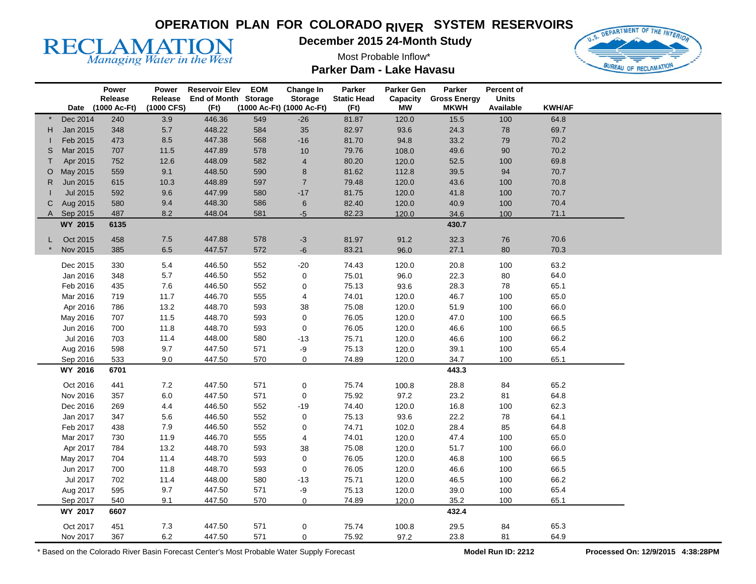

**December 2015 24-Month Study** 

Most Probable Inflow\*

**Parker Dam - Lake Havasu** 



|    |          | Power             | Power      | <b>Reservoir Elev</b> | <b>EOM</b> | Change In                 | Parker             | Parker Gen | Parker                       | Percent of   |               |  |
|----|----------|-------------------|------------|-----------------------|------------|---------------------------|--------------------|------------|------------------------------|--------------|---------------|--|
|    |          | Release           | Release    | End of Month Storage  |            | <b>Storage</b>            | <b>Static Head</b> |            | <b>Capacity Gross Energy</b> | <b>Units</b> |               |  |
|    |          | Date (1000 Ac-Ft) | (1000 CFS) | (Ft)                  |            | (1000 Ac-Ft) (1000 Ac-Ft) | (Ft)               | <b>MW</b>  | <b>MKWH</b>                  | Available    | <b>KWH/AF</b> |  |
|    | Dec 2014 | 240               | 3.9        | 446.36                | 549        | $-26$                     | 81.87              | 120.0      | 15.5                         | 100          | 64.8          |  |
| H. | Jan 2015 | 348               | 5.7        | 448.22                | 584        | $35\,$                    | 82.97              | 93.6       | 24.3                         | ${\bf 78}$   | 69.7          |  |
|    | Feb 2015 | 473               | 8.5        | 447.38                | 568        | $-16$                     | 81.70              | 94.8       | 33.2                         | 79           | 70.2          |  |
| S  | Mar 2015 | 707               | 11.5       | 447.89                | 578        | $10$                      | 79.76              | 108.0      | 49.6                         | $90\,$       | 70.2          |  |
| т  | Apr 2015 | 752               | 12.6       | 448.09                | 582        | 4                         | 80.20              | 120.0      | 52.5                         | 100          | 69.8          |  |
| O  | May 2015 | 559               | 9.1        | 448.50                | 590        | 8                         | 81.62              | 112.8      | 39.5                         | 94           | 70.7          |  |
| R. | Jun 2015 | 615               | 10.3       | 448.89                | 597        | $\sqrt{7}$                | 79.48              | 120.0      | 43.6                         | 100          | 70.8          |  |
|    | Jul 2015 | 592               | 9.6        | 447.99                | 580        | $-17$                     | 81.75              | 120.0      | 41.8                         | 100          | 70.7          |  |
| С  | Aug 2015 | 580               | 9.4        | 448.30                | 586        | 6                         | 82.40              | 120.0      | 40.9                         | 100          | 70.4          |  |
| A  | Sep 2015 | 487               | 8.2        | 448.04                | 581        | $-5$                      | 82.23              | 120.0      | 34.6                         | 100          | 71.1          |  |
|    | WY 2015  | 6135              |            |                       |            |                           |                    |            | 430.7                        |              |               |  |
| L  | Oct 2015 | 458               | $7.5\,$    | 447.88                | 578        | $-3$                      | 81.97              | 91.2       | 32.3                         | ${\bf 76}$   | 70.6          |  |
|    | Nov 2015 | 385               | 6.5        | 447.57                | 572        | $-6$                      | 83.21              | 96.0       | 27.1                         | 80           | 70.3          |  |
|    |          |                   |            |                       |            |                           |                    |            |                              |              |               |  |
|    | Dec 2015 | 330               | 5.4        | 446.50                | 552        | $-20$                     | 74.43              | 120.0      | 20.8                         | 100          | 63.2          |  |
|    | Jan 2016 | 348               | 5.7        | 446.50                | 552        | 0                         | 75.01              | 96.0       | 22.3                         | 80           | 64.0          |  |
|    | Feb 2016 | 435               | 7.6        | 446.50                | 552        | 0                         | 75.13              | 93.6       | 28.3                         | 78           | 65.1          |  |
|    | Mar 2016 | 719               | 11.7       | 446.70                | 555        | 4                         | 74.01              | 120.0      | 46.7                         | 100          | 65.0          |  |
|    | Apr 2016 | 786               | 13.2       | 448.70                | 593        | 38                        | 75.08              | 120.0      | 51.9                         | 100          | 66.0          |  |
|    | May 2016 | 707               | 11.5       | 448.70                | 593        | 0                         | 76.05              | 120.0      | 47.0                         | 100          | 66.5          |  |
|    | Jun 2016 | 700               | 11.8       | 448.70                | 593        | 0                         | 76.05              | 120.0      | 46.6                         | 100          | 66.5          |  |
|    | Jul 2016 | 703               | 11.4       | 448.00                | 580        | $-13$                     | 75.71              | 120.0      | 46.6                         | 100          | 66.2          |  |
|    | Aug 2016 | 598               | 9.7        | 447.50                | 571        | -9                        | 75.13              | 120.0      | 39.1                         | 100          | 65.4          |  |
|    | Sep 2016 | 533               | 9.0        | 447.50                | 570        | $\overline{0}$            | 74.89              | 120.0      | 34.7                         | 100          | 65.1          |  |
|    | WY 2016  | 6701              |            |                       |            |                           |                    |            | 443.3                        |              |               |  |
|    | Oct 2016 | 441               | $7.2\,$    | 447.50                | 571        | 0                         | 75.74              | 100.8      | 28.8                         | 84           | 65.2          |  |
|    | Nov 2016 | 357               | $6.0\,$    | 447.50                | 571        | 0                         | 75.92              | 97.2       | 23.2                         | 81           | 64.8          |  |
|    | Dec 2016 | 269               | 4.4        | 446.50                | 552        | $-19$                     | 74.40              | 120.0      | 16.8                         | 100          | 62.3          |  |
|    | Jan 2017 | 347               | 5.6        | 446.50                | 552        | 0                         | 75.13              | 93.6       | 22.2                         | 78           | 64.1          |  |
|    | Feb 2017 | 438               | 7.9        | 446.50                | 552        | 0                         | 74.71              | 102.0      | 28.4                         | 85           | 64.8          |  |
|    | Mar 2017 | 730               | 11.9       | 446.70                | 555        | 4                         | 74.01              | 120.0      | 47.4                         | 100          | 65.0          |  |
|    | Apr 2017 | 784               | 13.2       | 448.70                | 593        | $38\,$                    | 75.08              | 120.0      | 51.7                         | 100          | 66.0          |  |
|    | May 2017 | 704               | 11.4       | 448.70                | 593        | 0                         | 76.05              | 120.0      | 46.8                         | 100          | 66.5          |  |
|    | Jun 2017 | 700               | 11.8       | 448.70                | 593        | 0                         | 76.05              | 120.0      | 46.6                         | 100          | 66.5          |  |
|    | Jul 2017 | 702               | 11.4       | 448.00                | 580        | $-13$                     | 75.71              | 120.0      | 46.5                         | 100          | 66.2          |  |
|    | Aug 2017 | 595               | 9.7        | 447.50                | 571        | -9                        | 75.13              | 120.0      | 39.0                         | 100          | 65.4          |  |
|    | Sep 2017 | 540               | 9.1        | 447.50                | 570        | $\overline{0}$            | 74.89              | 120.0      | 35.2                         | 100          | 65.1          |  |
|    | WY 2017  | 6607              |            |                       |            |                           |                    |            | 432.4                        |              |               |  |
|    |          |                   |            |                       |            |                           |                    |            |                              |              |               |  |
|    | Oct 2017 | 451               | $7.3$      | 447.50                | 571        | 0                         | 75.74              | 100.8      | 29.5                         | 84           | 65.3          |  |
|    | Nov 2017 | 367               | 6.2        | 447.50                | 571        | 0                         | 75.92              | 97.2       | 23.8                         | 81           | 64.9          |  |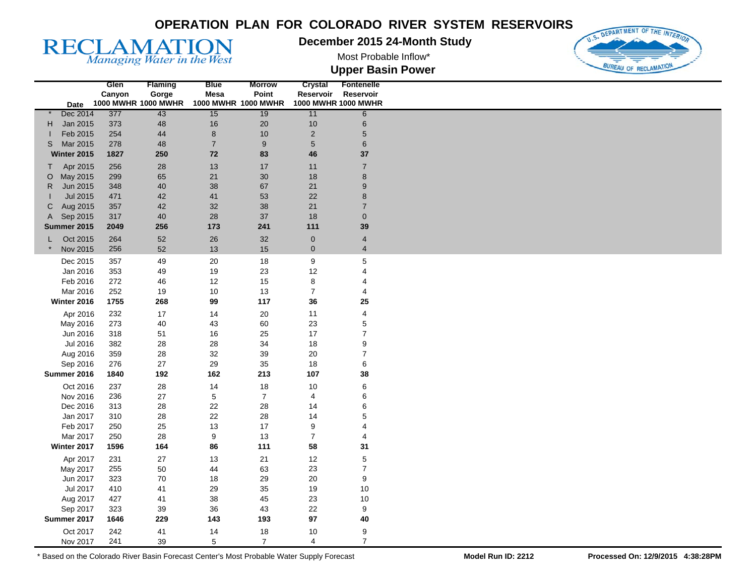#### **December 2015 24-Month Study**

Most Probable Inflow\*



**Upper Basin Power** 

|              |                 | Glen   | <b>Flaming</b>      | <b>Blue</b>    | <b>Morrow</b>       | Crystal          | <b>Fontenelle</b>   |
|--------------|-----------------|--------|---------------------|----------------|---------------------|------------------|---------------------|
|              |                 | Canyon | Gorge               | <b>Mesa</b>    | Point               | Reservoir        | Reservoir           |
|              | Date            |        | 1000 MWHR 1000 MWHR |                | 1000 MWHR 1000 MWHR |                  | 1000 MWHR 1000 MWHR |
|              | Dec 2014        | 377    | 43                  | 15             | 19                  | 11               | $6\overline{6}$     |
| H            | Jan 2015        | 373    | 48                  | 16             | $20\,$              | 10               | $\,6\,$             |
|              | Feb 2015        | 254    | 44                  | 8              | $10$                | $\overline{2}$   | $\overline{5}$      |
| S            | Mar 2015        | 278    | 48                  | $\overline{7}$ | 9                   | $\sqrt{5}$       | $\,6$               |
|              | Winter 2015     | 1827   | 250                 | 72             | 83                  | 46               | 37                  |
|              |                 |        |                     |                | 17                  |                  | $\overline{7}$      |
| $\mathsf{T}$ | Apr 2015        | 256    | 28                  | 13             |                     | 11               |                     |
| $\circ$      | May 2015        | 299    | 65                  | 21             | 30                  | 18               | $\bf 8$             |
| R            | Jun 2015        | 348    | 40                  | 38             | 67                  | 21               | $\boldsymbol{9}$    |
|              | <b>Jul 2015</b> | 471    | 42                  | 41             | 53                  | 22               | $\bf8$              |
| C            | Aug 2015        | 357    | 42                  | 32             | 38                  | 21               | $\overline{7}$      |
| A            | Sep 2015        | 317    | 40                  | 28             | 37                  | 18               | $\pmb{0}$           |
|              | Summer 2015     | 2049   | 256                 | 173            | 241                 | 111              | 39                  |
|              | Oct 2015<br>L.  | 264    | 52                  | 26             | 32                  | $\pmb{0}$        | 4                   |
|              | Nov 2015        | 256    | 52                  | 13             | 15                  | $\mathbf 0$      | $\overline{4}$      |
|              |                 |        |                     |                |                     |                  |                     |
|              | Dec 2015        | 357    | 49                  | 20             | 18                  | $\boldsymbol{9}$ | $\overline{5}$      |
|              | Jan 2016        | 353    | 49                  | 19             | 23                  | 12               | 4                   |
|              | Feb 2016        | 272    | 46                  | 12             | 15                  | 8                | 4                   |
|              | Mar 2016        | 252    | 19                  | 10             | 13                  | $\overline{7}$   | 4                   |
|              | Winter 2016     | 1755   | 268                 | 99             | 117                 | 36               | 25                  |
|              | Apr 2016        | 232    | 17                  | 14             | $20\,$              | 11               | 4                   |
|              | May 2016        | 273    | 40                  | 43             | 60                  | 23               | $\mathbf 5$         |
|              | Jun 2016        | 318    | 51                  | 16             | 25                  | 17               | $\overline{7}$      |
|              |                 |        |                     |                |                     |                  |                     |
|              | Jul 2016        | 382    | 28                  | 28             | 34                  | 18               | 9                   |
|              | Aug 2016        | 359    | 28                  | 32             | 39                  | 20               | $\overline{7}$      |
|              | Sep 2016        | 276    | 27                  | 29             | 35                  | 18               | 6                   |
|              | Summer 2016     | 1840   | 192                 | 162            | 213                 | 107              | 38                  |
|              | Oct 2016        | 237    | 28                  | 14             | 18                  | 10               | 6                   |
|              | Nov 2016        | 236    | 27                  | $\,$ 5 $\,$    | $\overline{7}$      | 4                | 6                   |
|              | Dec 2016        | 313    | 28                  | 22             | 28                  | 14               | 6                   |
|              | Jan 2017        | 310    | 28                  | 22             | 28                  | 14               | 5                   |
|              | Feb 2017        | 250    | 25                  | 13             | 17                  | 9                | 4                   |
|              |                 |        |                     |                |                     |                  |                     |
|              | Mar 2017        | 250    | 28                  | 9              | 13                  | $\overline{7}$   | 4                   |
|              | Winter 2017     | 1596   | 164                 | 86             | 111                 | 58               | 31                  |
|              | Apr 2017        | 231    | 27                  | 13             | 21                  | 12               | $\mathbf 5$         |
|              | May 2017        | 255    | 50                  | 44             | 63                  | 23               | $\boldsymbol{7}$    |
|              | Jun 2017        | 323    | 70                  | 18             | 29                  | 20               | $\boldsymbol{9}$    |
|              | Jul 2017        | 410    | 41                  | 29             | 35                  | 19               | 10                  |
|              | Aug 2017        | 427    | 41                  | 38             | 45                  | 23               | 10                  |
|              | Sep 2017        | 323    | 39                  | 36             | 43                  | 22               | 9                   |
|              | Summer 2017     | 1646   | 229                 | 143            | 193                 | 97               | 40                  |
|              |                 |        |                     |                |                     |                  |                     |
|              | Oct 2017        | 242    | 41                  | 14             | 18                  | 10               | $\boldsymbol{9}$    |
|              | Nov 2017        | 241    | 39                  | 5              | $\overline{7}$      | $\overline{4}$   | $\overline{7}$      |

\* Based on the Colorado River Basin Forecast Center's Most Probable Water Supply Forecast **Model Run ID: 2212 Processed On: 12/9/2015 4:38:28PM** 

**RECLAMATION**